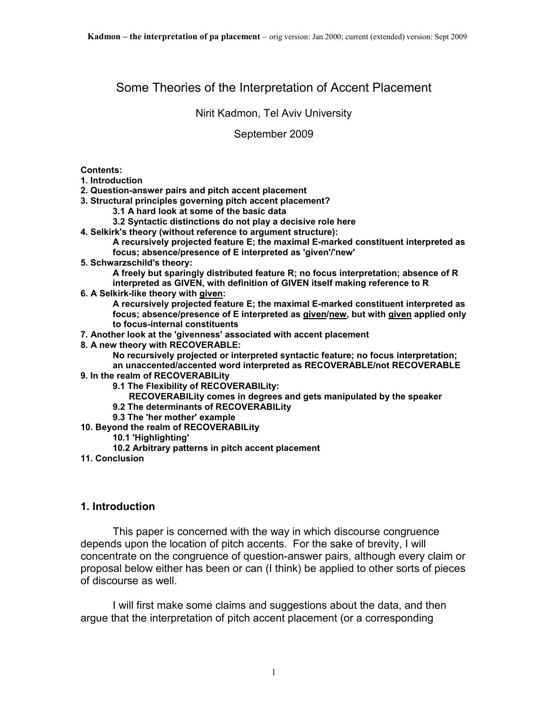# Some Theories of the Interpretation of Accent Placement

#### Nirit Kadmon, Tel Aviv University

#### September 2009

#### **Contents:**

- **1. Introduction**
- **2. Question-answer pairs and pitch accent placement**
- **3. Structural principles governing pitch accent placement?** 
	- **3.1 A hard look at some of the basic data**
	- **3.2 Syntactic distinctions do not play a decisive role here**
- **4. Selkirk's theory (without reference to argument structure): A recursively projected feature E; the maximal E-marked constituent interpreted as** 
	- **focus; absence/presence of E interpreted as 'given'/'new'**
- **5. Schwarzschild's theory:**

**A freely but sparingly distributed feature R; no focus interpretation; absence of R interpreted as GIVEN, with definition of GIVEN itself making reference to R** 

- **6. A Selkirk-like theory with given:** 
	- **A recursively projected feature E; the maximal E-marked constituent interpreted as focus; absence/presence of E interpreted as given/new, but with given applied only to focus-internal constituents**

**7. Another look at the 'givenness' associated with accent placement** 

**8. A new theory with RECOVERABLE:** 

**No recursively projected or interpreted syntactic feature; no focus interpretation; an unaccented/accented word interpreted as RECOVERABLE/not RECOVERABLE** 

#### **9. In the realm of RECOVERABILity**

- **9.1 The Flexibility of RECOVERABILity:** 
	- **RECOVERABILity comes in degrees and gets manipulated by the speaker**
- **9.2 The determinants of RECOVERABILity**
- **9.3 The 'her mother' example**
- **10. Beyond the realm of RECOVERABILity** 
	- **10.1 'Highlighting'**
	- **10.2 Arbitrary patterns in pitch accent placement**
- **11. Conclusion**

#### **1. Introduction**

 This paper is concerned with the way in which discourse congruence depends upon the location of pitch accents. For the sake of brevity, I will concentrate on the congruence of question-answer pairs, although every claim or proposal below either has been or can (I think) be applied to other sorts of pieces of discourse as well.

 I will first make some claims and suggestions about the data, and then argue that the interpretation of pitch accent placement (or a corresponding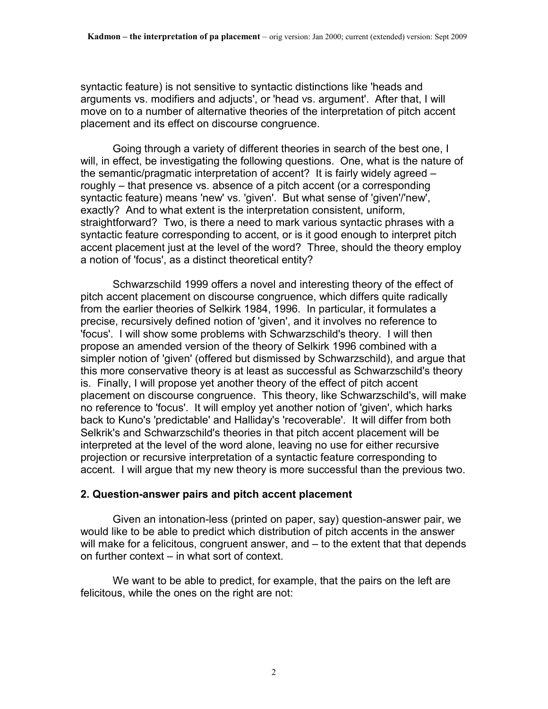syntactic feature) is not sensitive to syntactic distinctions like 'heads and arguments vs. modifiers and adjucts', or 'head vs. argument'. After that, I will move on to a number of alternative theories of the interpretation of pitch accent placement and its effect on discourse congruence.

 Going through a variety of different theories in search of the best one, I will, in effect, be investigating the following questions. One, what is the nature of the semantic/pragmatic interpretation of accent? It is fairly widely agreed – roughly – that presence vs. absence of a pitch accent (or a corresponding syntactic feature) means 'new' vs. 'given'. But what sense of 'given'/'new', exactly? And to what extent is the interpretation consistent, uniform, straightforward? Two, is there a need to mark various syntactic phrases with a syntactic feature corresponding to accent, or is it good enough to interpret pitch accent placement just at the level of the word? Three, should the theory employ a notion of 'focus', as a distinct theoretical entity?

 Schwarzschild 1999 offers a novel and interesting theory of the effect of pitch accent placement on discourse congruence, which differs quite radically from the earlier theories of Selkirk 1984, 1996. In particular, it formulates a precise, recursively defined notion of 'given', and it involves no reference to 'focus'. I will show some problems with Schwarzschild's theory. I will then propose an amended version of the theory of Selkirk 1996 combined with a simpler notion of 'given' (offered but dismissed by Schwarzschild), and argue that this more conservative theory is at least as successful as Schwarzschild's theory is. Finally, I will propose yet another theory of the effect of pitch accent placement on discourse congruence. This theory, like Schwarzschild's, will make no reference to 'focus'. It will employ yet another notion of 'given', which harks back to Kuno's 'predictable' and Halliday's 'recoverable'. It will differ from both Selkrik's and Schwarzschild's theories in that pitch accent placement will be interpreted at the level of the word alone, leaving no use for either recursive projection or recursive interpretation of a syntactic feature corresponding to accent. I will argue that my new theory is more successful than the previous two.

#### **2. Question-answer pairs and pitch accent placement**

 Given an intonation-less (printed on paper, say) question-answer pair, we would like to be able to predict which distribution of pitch accents in the answer will make for a felicitous, congruent answer, and – to the extent that that depends on further context – in what sort of context.

 We want to be able to predict, for example, that the pairs on the left are felicitous, while the ones on the right are not: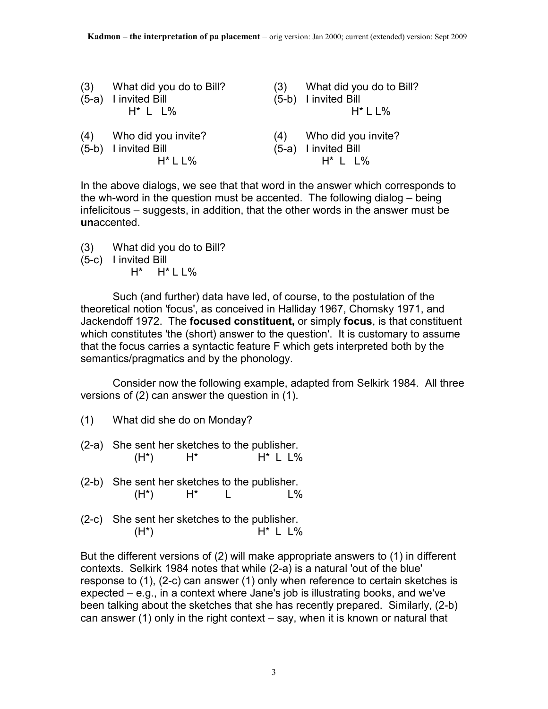| (3) | What did you do to Bill?<br>(5-a) I invited Bill<br>$H^*$ L L% | (3) | What did you do to Bill?<br>(5-b) I invited Bill<br>$H^*$ L L% |
|-----|----------------------------------------------------------------|-----|----------------------------------------------------------------|
|     | (4) Who did you invite?<br>(5-b) I invited Bill<br>$H^*$ L L%  |     | (4) Who did you invite?<br>(5-a) I invited Bill<br>$H^*$ L L%  |

In the above dialogs, we see that that word in the answer which corresponds to the wh-word in the question must be accented. The following dialog – being infelicitous – suggests, in addition, that the other words in the answer must be **un**accented.

- (3) What did you do to Bill?
- (5-c) I invited Bill
	- $H^*$   $H^*$  L L%

 Such (and further) data have led, of course, to the postulation of the theoretical notion 'focus', as conceived in Halliday 1967, Chomsky 1971, and Jackendoff 1972. The **focused constituent,** or simply **focus**, is that constituent which constitutes 'the (short) answer to the question'. It is customary to assume that the focus carries a syntactic feature F which gets interpreted both by the semantics/pragmatics and by the phonology.

 Consider now the following example, adapted from Selkirk 1984. All three versions of (2) can answer the question in (1).

- (1) What did she do on Monday?
- (2-a) She sent her sketches to the publisher.  $(H^*)$   $H^*$  H<sup>\*</sup> L L%
- (2-b) She sent her sketches to the publisher.  $(H^*)$   $H^*$  L L%
- (2-c) She sent her sketches to the publisher.  $(H^*)$   $H^*$  L L%

But the different versions of (2) will make appropriate answers to (1) in different contexts. Selkirk 1984 notes that while (2-a) is a natural 'out of the blue' response to (1), (2-c) can answer (1) only when reference to certain sketches is expected – e.g., in a context where Jane's job is illustrating books, and we've been talking about the sketches that she has recently prepared. Similarly, (2-b) can answer (1) only in the right context – say, when it is known or natural that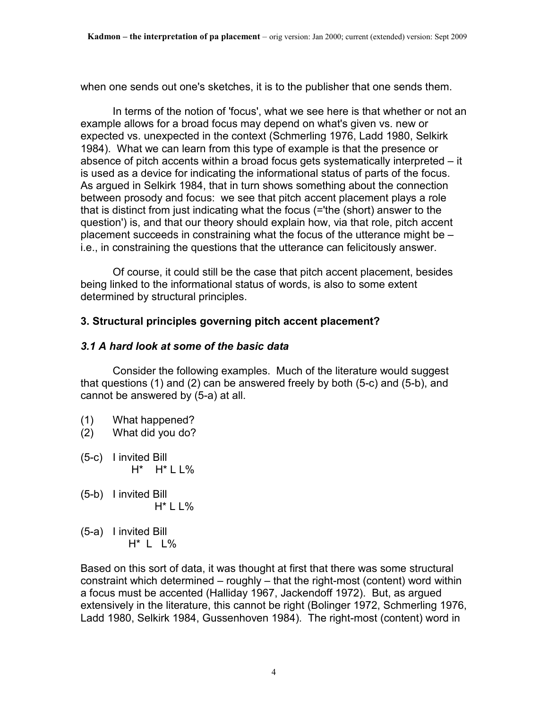when one sends out one's sketches, it is to the publisher that one sends them.

 In terms of the notion of 'focus', what we see here is that whether or not an example allows for a broad focus may depend on what's given vs. new or expected vs. unexpected in the context (Schmerling 1976, Ladd 1980, Selkirk 1984). What we can learn from this type of example is that the presence or absence of pitch accents within a broad focus gets systematically interpreted – it is used as a device for indicating the informational status of parts of the focus. As argued in Selkirk 1984, that in turn shows something about the connection between prosody and focus: we see that pitch accent placement plays a role that is distinct from just indicating what the focus (='the (short) answer to the question') is, and that our theory should explain how, via that role, pitch accent placement succeeds in constraining what the focus of the utterance might be – i.e., in constraining the questions that the utterance can felicitously answer.

 Of course, it could still be the case that pitch accent placement, besides being linked to the informational status of words, is also to some extent determined by structural principles.

# **3. Structural principles governing pitch accent placement?**

### *3.1 A hard look at some of the basic data*

 Consider the following examples. Much of the literature would suggest that questions (1) and (2) can be answered freely by both (5-c) and (5-b), and cannot be answered by (5-a) at all.

- (1) What happened?
- (2) What did you do?
- (5-c) I invited Bill  $H^*$  H<sup>\*</sup> L L%
- (5-b) I invited Bill H\* L L%
- (5-a) I invited Bill H\* L L%

Based on this sort of data, it was thought at first that there was some structural constraint which determined – roughly – that the right-most (content) word within a focus must be accented (Halliday 1967, Jackendoff 1972). But, as argued extensively in the literature, this cannot be right (Bolinger 1972, Schmerling 1976, Ladd 1980, Selkirk 1984, Gussenhoven 1984). The right-most (content) word in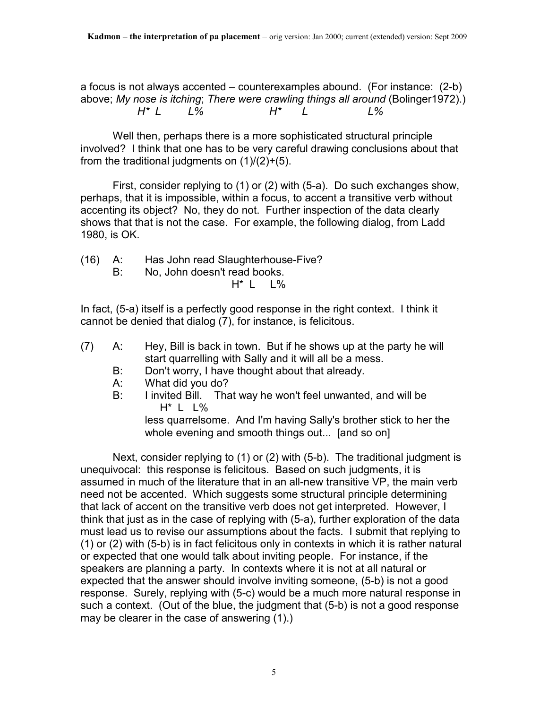a focus is not always accented – counterexamples abound. (For instance: (2-b) above; *My nose is itching*; *There were crawling things all around* (Bolinger1972).) *H\* L L% H\* L L%* 

 Well then, perhaps there is a more sophisticated structural principle involved? I think that one has to be very careful drawing conclusions about that from the traditional judgments on  $(1)/(2)+(5)$ .

 First, consider replying to (1) or (2) with (5-a). Do such exchanges show, perhaps, that it is impossible, within a focus, to accent a transitive verb without accenting its object? No, they do not. Further inspection of the data clearly shows that that is not the case. For example, the following dialog, from Ladd 1980, is OK.

- (16) A: Has John read Slaughterhouse-Five?
	- B: No, John doesn't read books.

H\* L L%

In fact, (5-a) itself is a perfectly good response in the right context. I think it cannot be denied that dialog (7), for instance, is felicitous.

- (7) A: Hey, Bill is back in town. But if he shows up at the party he will start quarrelling with Sally and it will all be a mess.
	- B: Don't worry, I have thought about that already.
	- A: What did you do?
	- B: I invited Bill. That way he won't feel unwanted, and will be H\* L L%

 less quarrelsome. And I'm having Sally's brother stick to her the whole evening and smooth things out... [and so on]

 Next, consider replying to (1) or (2) with (5-b). The traditional judgment is unequivocal: this response is felicitous. Based on such judgments, it is assumed in much of the literature that in an all-new transitive VP, the main verb need not be accented. Which suggests some structural principle determining that lack of accent on the transitive verb does not get interpreted. However, I think that just as in the case of replying with (5-a), further exploration of the data must lead us to revise our assumptions about the facts. I submit that replying to (1) or (2) with (5-b) is in fact felicitous only in contexts in which it is rather natural or expected that one would talk about inviting people. For instance, if the speakers are planning a party. In contexts where it is not at all natural or expected that the answer should involve inviting someone, (5-b) is not a good response. Surely, replying with (5-c) would be a much more natural response in such a context. (Out of the blue, the judgment that (5-b) is not a good response may be clearer in the case of answering (1).)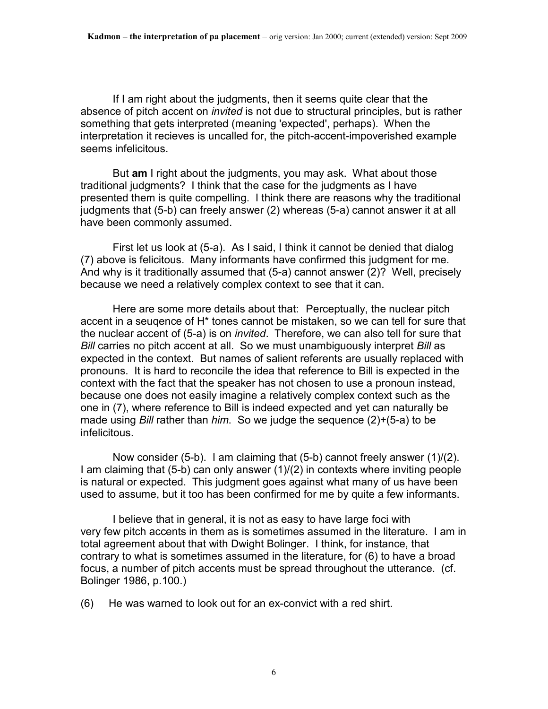If I am right about the judgments, then it seems quite clear that the absence of pitch accent on *invited* is not due to structural principles, but is rather something that gets interpreted (meaning 'expected', perhaps). When the interpretation it recieves is uncalled for, the pitch-accent-impoverished example seems infelicitous.

 But **am** I right about the judgments, you may ask. What about those traditional judgments? I think that the case for the judgments as I have presented them is quite compelling. I think there are reasons why the traditional judgments that (5-b) can freely answer (2) whereas (5-a) cannot answer it at all have been commonly assumed.

 First let us look at (5-a). As I said, I think it cannot be denied that dialog (7) above is felicitous. Many informants have confirmed this judgment for me. And why is it traditionally assumed that (5-a) cannot answer (2)? Well, precisely because we need a relatively complex context to see that it can.

 Here are some more details about that: Perceptually, the nuclear pitch accent in a seuqence of H\* tones cannot be mistaken, so we can tell for sure that the nuclear accent of (5-a) is on *invited*. Therefore, we can also tell for sure that *Bill* carries no pitch accent at all. So we must unambiguously interpret *Bill* as expected in the context. But names of salient referents are usually replaced with pronouns. It is hard to reconcile the idea that reference to Bill is expected in the context with the fact that the speaker has not chosen to use a pronoun instead, because one does not easily imagine a relatively complex context such as the one in (7), where reference to Bill is indeed expected and yet can naturally be made using *Bill* rather than *him*. So we judge the sequence (2)+(5-a) to be infelicitous.

 Now consider (5-b). I am claiming that (5-b) cannot freely answer (1)/(2). I am claiming that (5-b) can only answer (1)/(2) in contexts where inviting people is natural or expected. This judgment goes against what many of us have been used to assume, but it too has been confirmed for me by quite a few informants.

 I believe that in general, it is not as easy to have large foci with very few pitch accents in them as is sometimes assumed in the literature. I am in total agreement about that with Dwight Bolinger. I think, for instance, that contrary to what is sometimes assumed in the literature, for (6) to have a broad focus, a number of pitch accents must be spread throughout the utterance. (cf. Bolinger 1986, p.100.)

(6) He was warned to look out for an ex-convict with a red shirt.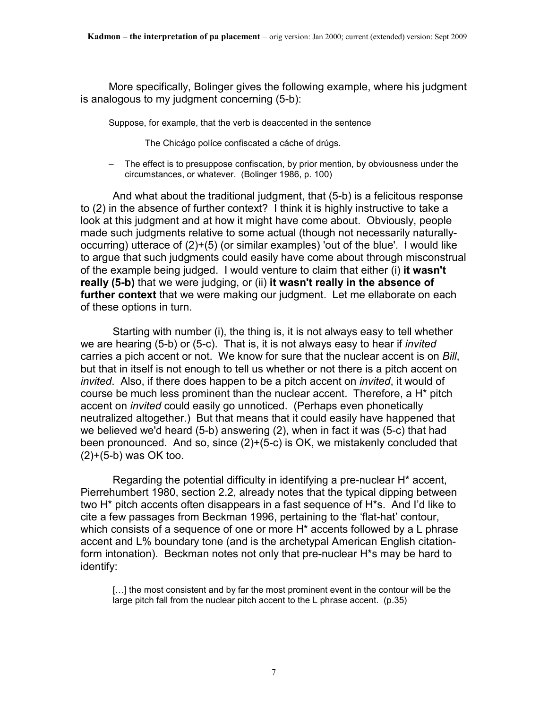More specifically, Bolinger gives the following example, where his judgment is analogous to my judgment concerning (5-b):

Suppose, for example, that the verb is deaccented in the sentence

The Chicágo políce confiscated a cáche of drúgs.

– The effect is to presuppose confiscation, by prior mention, by obviousness under the circumstances, or whatever. (Bolinger 1986, p. 100)

 And what about the traditional judgment, that (5-b) is a felicitous response to (2) in the absence of further context? I think it is highly instructive to take a look at this judgment and at how it might have come about. Obviously, people made such judgments relative to some actual (though not necessarily naturallyoccurring) utterace of (2)+(5) (or similar examples) 'out of the blue'. I would like to argue that such judgments could easily have come about through misconstrual of the example being judged. I would venture to claim that either (i) **it wasn't really (5-b)** that we were judging, or (ii) **it wasn't really in the absence of further context** that we were making our judgment. Let me ellaborate on each of these options in turn.

 Starting with number (i), the thing is, it is not always easy to tell whether we are hearing (5-b) or (5-c). That is, it is not always easy to hear if *invited* carries a pich accent or not. We know for sure that the nuclear accent is on *Bill*, but that in itself is not enough to tell us whether or not there is a pitch accent on *invited*. Also, if there does happen to be a pitch accent on *invited*, it would of course be much less prominent than the nuclear accent. Therefore, a H\* pitch accent on *invited* could easily go unnoticed. (Perhaps even phonetically neutralized altogether.) But that means that it could easily have happened that we believed we'd heard (5-b) answering (2), when in fact it was (5-c) that had been pronounced. And so, since (2)+(5-c) is OK, we mistakenly concluded that (2)+(5-b) was OK too.

 Regarding the potential difficulty in identifying a pre-nuclear H\* accent, Pierrehumbert 1980, section 2.2, already notes that the typical dipping between two H\* pitch accents often disappears in a fast sequence of H\*s. And I'd like to cite a few passages from Beckman 1996, pertaining to the 'flat-hat' contour, which consists of a sequence of one or more H<sup>\*</sup> accents followed by a L phrase accent and L% boundary tone (and is the archetypal American English citationform intonation). Beckman notes not only that pre-nuclear H\*s may be hard to identify:

[...] the most consistent and by far the most prominent event in the contour will be the large pitch fall from the nuclear pitch accent to the L phrase accent. (p.35)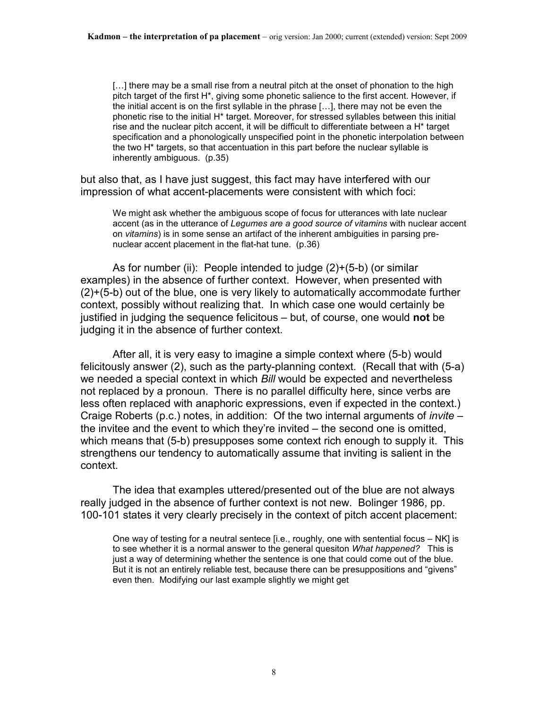[...] there may be a small rise from a neutral pitch at the onset of phonation to the high pitch target of the first H\*, giving some phonetic salience to the first accent. However, if the initial accent is on the first syllable in the phrase […], there may not be even the phonetic rise to the initial H\* target. Moreover, for stressed syllables between this initial rise and the nuclear pitch accent, it will be difficult to differentiate between a H\* target specification and a phonologically unspecified point in the phonetic interpolation between the two H\* targets, so that accentuation in this part before the nuclear syllable is inherently ambiguous. (p.35)

but also that, as I have just suggest, this fact may have interfered with our impression of what accent-placements were consistent with which foci:

We might ask whether the ambiguous scope of focus for utterances with late nuclear accent (as in the utterance of *Legumes are a good source of vitamins* with nuclear accent on *vitamins*) is in some sense an artifact of the inherent ambiguities in parsing prenuclear accent placement in the flat-hat tune. (p.36)

 As for number (ii): People intended to judge (2)+(5-b) (or similar examples) in the absence of further context. However, when presented with (2)+(5-b) out of the blue, one is very likely to automatically accommodate further context, possibly without realizing that. In which case one would certainly be justified in judging the sequence felicitous – but, of course, one would **not** be judging it in the absence of further context.

 After all, it is very easy to imagine a simple context where (5-b) would felicitously answer (2), such as the party-planning context. (Recall that with (5-a) we needed a special context in which *Bill* would be expected and nevertheless not replaced by a pronoun. There is no parallel difficulty here, since verbs are less often replaced with anaphoric expressions, even if expected in the context.) Craige Roberts (p.c.) notes, in addition: Of the two internal arguments of *invite* – the invitee and the event to which they're invited – the second one is omitted, which means that (5-b) presupposes some context rich enough to supply it. This strengthens our tendency to automatically assume that inviting is salient in the context.

 The idea that examples uttered/presented out of the blue are not always really judged in the absence of further context is not new. Bolinger 1986, pp. 100-101 states it very clearly precisely in the context of pitch accent placement:

One way of testing for a neutral sentece [i.e., roughly, one with sentential focus – NK] is to see whether it is a normal answer to the general quesiton *What happened?* This is just a way of determining whether the sentence is one that could come out of the blue. But it is not an entirely reliable test, because there can be presuppositions and "givens" even then. Modifying our last example slightly we might get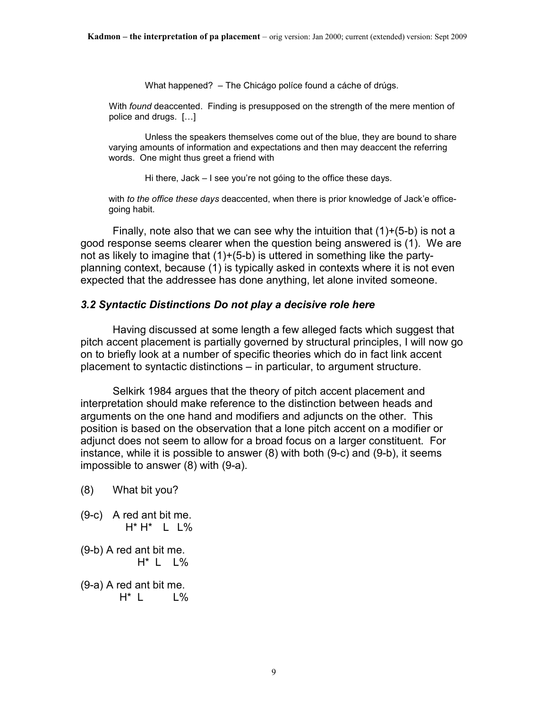What happened? – The Chicágo políce found a cáche of drúgs.

With *found* deaccented. Finding is presupposed on the strength of the mere mention of police and drugs. […]

 Unless the speakers themselves come out of the blue, they are bound to share varying amounts of information and expectations and then may deaccent the referring words. One might thus greet a friend with

Hi there, Jack – I see you're not góing to the office these days.

with *to the office these days* deaccented, when there is prior knowledge of Jack'e officegoing habit.

Finally, note also that we can see why the intuition that  $(1)+(5-b)$  is not a good response seems clearer when the question being answered is (1). We are not as likely to imagine that (1)+(5-b) is uttered in something like the partyplanning context, because (1) is typically asked in contexts where it is not even expected that the addressee has done anything, let alone invited someone.

#### *3.2 Syntactic Distinctions Do not play a decisive role here*

 Having discussed at some length a few alleged facts which suggest that pitch accent placement is partially governed by structural principles, I will now go on to briefly look at a number of specific theories which do in fact link accent placement to syntactic distinctions – in particular, to argument structure.

 Selkirk 1984 argues that the theory of pitch accent placement and interpretation should make reference to the distinction between heads and arguments on the one hand and modifiers and adjuncts on the other. This position is based on the observation that a lone pitch accent on a modifier or adjunct does not seem to allow for a broad focus on a larger constituent. For instance, while it is possible to answer (8) with both (9-c) and (9-b), it seems impossible to answer (8) with (9-a).

- (8) What bit you?
- (9-c) A red ant bit me. H\* H\* L L%
- (9-b) A red ant bit me.  $H^*$  L  $L\%$

(9-a) A red ant bit me.  $H^*$  L  $\phantom{1}$  L%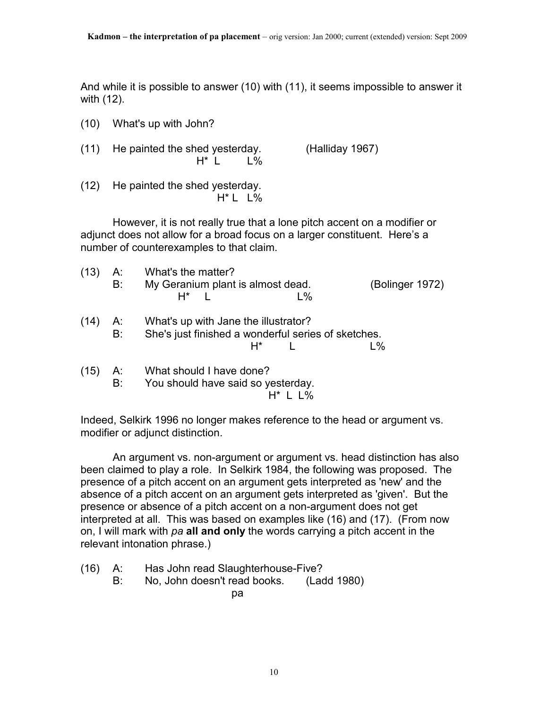And while it is possible to answer (10) with (11), it seems impossible to answer it with (12).

| (10) | What's up with John?                                             |                 |
|------|------------------------------------------------------------------|-----------------|
| (11) | He painted the shed yesterday.<br>$H^*$   $\%$                   | (Halliday 1967) |
| (12) | He painted the shed yesterday.<br>$H^*$ L $L\%$                  |                 |
|      | However, it is not really true that a lone pitch accent on a mod |                 |

 However, it is not really true that a lone pitch accent on a modifier or adjunct does not allow for a broad focus on a larger constituent. Here's a number of counterexamples to that claim.

| (13) | А:<br>B: | What's the matter?<br>My Geranium plant is almost dead.<br>$L\%$<br>$H^*$ 1                         | (Bolinger 1972) |
|------|----------|-----------------------------------------------------------------------------------------------------|-----------------|
| (14) | А:<br>B: | What's up with Jane the illustrator?<br>She's just finished a wonderful series of sketches.<br>H* I | $L\%$           |
| (15) | А:<br>B: | What should I have done?<br>You should have said so yesterday.                                      |                 |

Indeed, Selkirk 1996 no longer makes reference to the head or argument vs. modifier or adjunct distinction.

 An argument vs. non-argument or argument vs. head distinction has also been claimed to play a role. In Selkirk 1984, the following was proposed. The presence of a pitch accent on an argument gets interpreted as 'new' and the absence of a pitch accent on an argument gets interpreted as 'given'. But the presence or absence of a pitch accent on a non-argument does not get interpreted at all. This was based on examples like (16) and (17). (From now on, I will mark with *pa* **all and only** the words carrying a pitch accent in the relevant intonation phrase.)

- (16) A: Has John read Slaughterhouse-Five?
	- B: No, John doesn't read books. (Ladd 1980)

<u>particle in the second particle</u> particle in the second particle in the second particle in the second particle in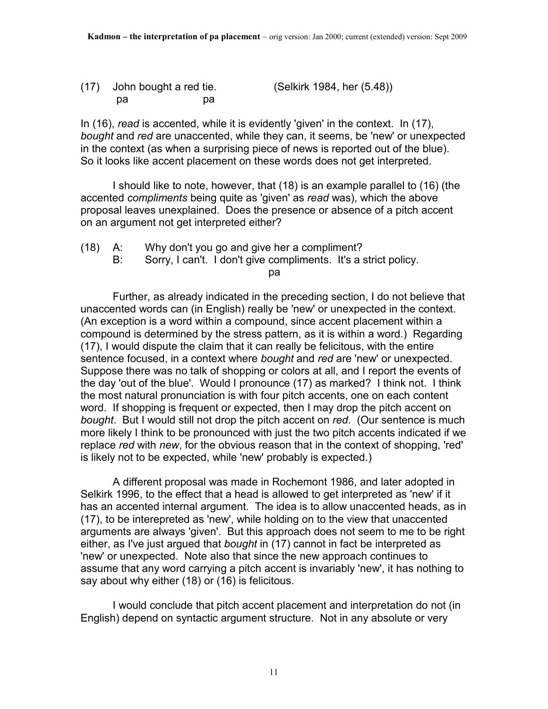(17) John bought a red tie. (Selkirk 1984, her (5.48)) pa pa

In (16), *read* is accented, while it is evidently 'given' in the context. In (17), *bought* and *red* are unaccented, while they can, it seems, be 'new' or unexpected in the context (as when a surprising piece of news is reported out of the blue). So it looks like accent placement on these words does not get interpreted.

 I should like to note, however, that (18) is an example parallel to (16) (the accented *compliments* being quite as 'given' as *read* was), which the above proposal leaves unexplained. Does the presence or absence of a pitch accent on an argument not get interpreted either?

- (18) A: Why don't you go and give her a compliment?
	- B: Sorry, I can't. I don't give compliments. It's a strict policy.

<u>particle</u> to the control of the particle particle in the second particle in the second particle in the second particle in the second particle in the second particle in the second particle in the second particle in the sec

 Further, as already indicated in the preceding section, I do not believe that unaccented words can (in English) really be 'new' or unexpected in the context. (An exception is a word within a compound, since accent placement within a compound is determined by the stress pattern, as it is within a word.) Regarding (17), I would dispute the claim that it can really be felicitous, with the entire sentence focused, in a context where *bought* and *red* are 'new' or unexpected. Suppose there was no talk of shopping or colors at all, and I report the events of the day 'out of the blue'. Would I pronounce (17) as marked? I think not. I think the most natural pronunciation is with four pitch accents, one on each content word. If shopping is frequent or expected, then I may drop the pitch accent on *bought*. But I would still not drop the pitch accent on *red*. (Our sentence is much more likely I think to be pronounced with just the two pitch accents indicated if we replace *red* with *new*, for the obvious reason that in the context of shopping, 'red' is likely not to be expected, while 'new' probably is expected.)

 A different proposal was made in Rochemont 1986, and later adopted in Selkirk 1996, to the effect that a head is allowed to get interpreted as 'new' if it has an accented internal argument. The idea is to allow unaccented heads, as in (17), to be interepreted as 'new', while holding on to the view that unaccented arguments are always 'given'. But this approach does not seem to me to be right either, as I've just argued that *bought* in (17) cannot in fact be interpreted as 'new' or unexpected. Note also that since the new approach continues to assume that any word carrying a pitch accent is invariably 'new', it has nothing to say about why either (18) or (16) is felicitous.

 I would conclude that pitch accent placement and interpretation do not (in English) depend on syntactic argument structure. Not in any absolute or very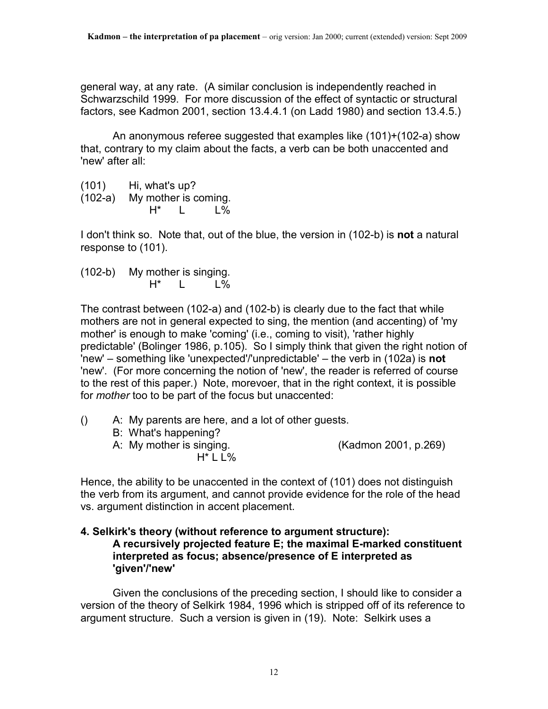general way, at any rate. (A similar conclusion is independently reached in Schwarzschild 1999. For more discussion of the effect of syntactic or structural factors, see Kadmon 2001, section 13.4.4.1 (on Ladd 1980) and section 13.4.5.)

 An anonymous referee suggested that examples like (101)+(102-a) show that, contrary to my claim about the facts, a verb can be both unaccented and 'new' after all:

 $(101)$  Hi, what's up? (102-a) My mother is coming.  $H^*$  L L%

I don't think so. Note that, out of the blue, the version in (102-b) is **not** a natural response to (101).

(102-b) My mother is singing.  $H^*$  L L%

The contrast between (102-a) and (102-b) is clearly due to the fact that while mothers are not in general expected to sing, the mention (and accenting) of 'my mother' is enough to make 'coming' (i.e., coming to visit), 'rather highly predictable' (Bolinger 1986, p.105). So I simply think that given the right notion of 'new' – something like 'unexpected'/'unpredictable' – the verb in (102a) is **not** 'new'. (For more concerning the notion of 'new', the reader is referred of course to the rest of this paper.) Note, morevoer, that in the right context, it is possible for *mother* too to be part of the focus but unaccented:

- () A: My parents are here, and a lot of other guests.
	- B: What's happening?
	- A: My mother is singing. (Kadmon 2001, p.269)

H\* L L%

Hence, the ability to be unaccented in the context of (101) does not distinguish the verb from its argument, and cannot provide evidence for the role of the head vs. argument distinction in accent placement.

### **4. Selkirk's theory (without reference to argument structure): A recursively projected feature E; the maximal E-marked constituent interpreted as focus; absence/presence of E interpreted as 'given'/'new'**

 Given the conclusions of the preceding section, I should like to consider a version of the theory of Selkirk 1984, 1996 which is stripped off of its reference to argument structure. Such a version is given in (19). Note: Selkirk uses a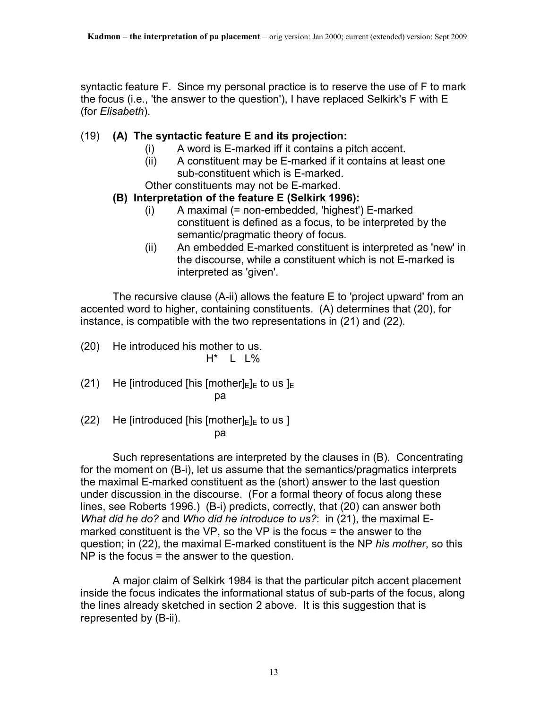syntactic feature F. Since my personal practice is to reserve the use of F to mark the focus (i.e., 'the answer to the question'), I have replaced Selkirk's F with E (for *Elisabeth*).

# (19) **(A) The syntactic feature E and its projection:**

- (i) A word is E-marked iff it contains a pitch accent.
- (ii) A constituent may be E-marked if it contains at least one sub-constituent which is E-marked.

Other constituents may not be E-marked.

# **(B) Interpretation of the feature E (Selkirk 1996):**

- (i) A maximal (= non-embedded, 'highest') E-marked constituent is defined as a focus, to be interpreted by the semantic/pragmatic theory of focus.
- (ii) An embedded E-marked constituent is interpreted as 'new' in the discourse, while a constituent which is not E-marked is interpreted as 'given'.

 The recursive clause (A-ii) allows the feature E to 'project upward' from an accented word to higher, containing constituents. (A) determines that (20), for instance, is compatible with the two representations in (21) and (22).

- (20) He introduced his mother to us. H\* L L%
- (21) He [introduced [his [mother] $E|_E$  to us  $E$ participate the control of the participate of the participate of the control of the control of the control of
- (22) He [introduced [his  $[mother]_E]_E$  to us ] <u>participate de la participate de la pa</u>

 Such representations are interpreted by the clauses in (B). Concentrating for the moment on (B-i), let us assume that the semantics/pragmatics interprets the maximal E-marked constituent as the (short) answer to the last question under discussion in the discourse. (For a formal theory of focus along these lines, see Roberts 1996.) (B-i) predicts, correctly, that (20) can answer both *What did he do?* and *Who did he introduce to us?*: in (21), the maximal Emarked constituent is the VP, so the VP is the focus = the answer to the question; in (22), the maximal E-marked constituent is the NP *his mother*, so this NP is the focus = the answer to the question.

 A major claim of Selkirk 1984 is that the particular pitch accent placement inside the focus indicates the informational status of sub-parts of the focus, along the lines already sketched in section 2 above. It is this suggestion that is represented by (B-ii).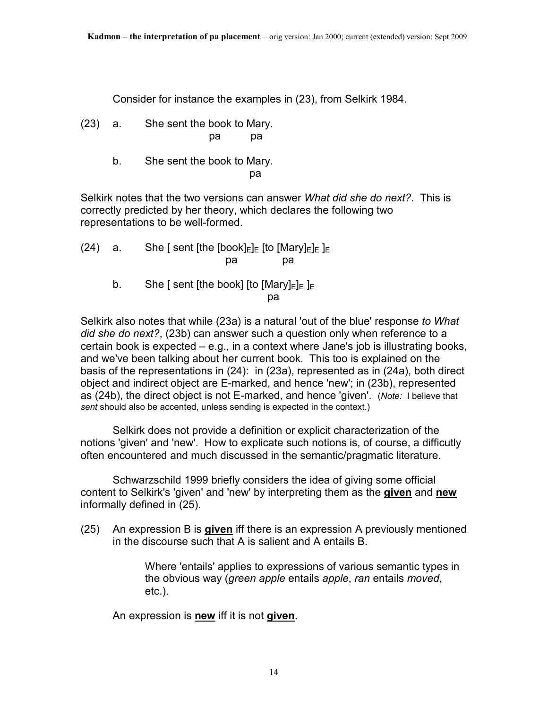Consider for instance the examples in (23), from Selkirk 1984.

- (23) a. She sent the book to Mary. pa pa
- b. She sent the book to Mary. <u>particle</u> to the control of the particle of the control of the control of the control of the control of the control of the control of the control of the control of the control of the control of the control of the control

Selkirk notes that the two versions can answer *What did she do next?*. This is correctly predicted by her theory, which declares the following two representations to be well-formed.

- (24) a. She [ sent [the [book] $E[E]E$  [to [Mary] $E[E]E$ ] pa pa
- b. She [ sent [the book] [to [Mary] $E|_E$ ] $E$ <u>particle</u> to the control of the particle particle in the second particle in the second particle in the second particle in the second particle in the second particle in the second particle in the second particle in the sec

Selkirk also notes that while (23a) is a natural 'out of the blue' response *to What did she do next?*, (23b) can answer such a question only when reference to a certain book is expected – e.g., in a context where Jane's job is illustrating books, and we've been talking about her current book. This too is explained on the basis of the representations in (24): in (23a), represented as in (24a), both direct object and indirect object are E-marked, and hence 'new'; in (23b), represented as (24b), the direct object is not E-marked, and hence 'given'. (*Note:* I believe that *sent* should also be accented, unless sending is expected in the context.)

 Selkirk does not provide a definition or explicit characterization of the notions 'given' and 'new'. How to explicate such notions is, of course, a difficutly often encountered and much discussed in the semantic/pragmatic literature.

 Schwarzschild 1999 briefly considers the idea of giving some official content to Selkirk's 'given' and 'new' by interpreting them as the **given** and **new** informally defined in (25).

(25) An expression B is **given** iff there is an expression A previously mentioned in the discourse such that A is salient and A entails B.

> Where 'entails' applies to expressions of various semantic types in the obvious way (*green apple* entails *apple*, *ran* entails *moved*, etc.).

An expression is **new** iff it is not **given**.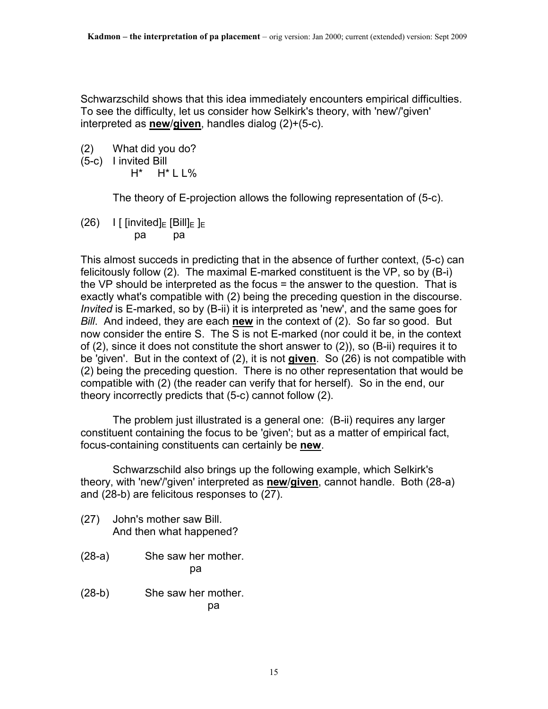Schwarzschild shows that this idea immediately encounters empirical difficulties. To see the difficulty, let us consider how Selkirk's theory, with 'new'/'given' interpreted as **new**/**given**, handles dialog (2)+(5-c).

- (2) What did you do?
- (5-c) I invited Bill
	- H\* H\* L L%

The theory of E-projection allows the following representation of (5-c).

(26) I [ [invited] $E$  [Bill] $E$  ] $E$ pa pa

This almost succeds in predicting that in the absence of further context, (5-c) can felicitously follow (2). The maximal E-marked constituent is the VP, so by (B-i) the VP should be interpreted as the focus = the answer to the question. That is exactly what's compatible with (2) being the preceding question in the discourse. *Invited* is E-marked, so by (B-ii) it is interpreted as 'new', and the same goes for *Bill*. And indeed, they are each **new** in the context of (2). So far so good. But now consider the entire S. The S is not E-marked (nor could it be, in the context of (2), since it does not constitute the short answer to (2)), so (B-ii) requires it to be 'given'. But in the context of (2), it is not **given**. So (26) is not compatible with (2) being the preceding question. There is no other representation that would be compatible with (2) (the reader can verify that for herself). So in the end, our theory incorrectly predicts that (5-c) cannot follow (2).

 The problem just illustrated is a general one: (B-ii) requires any larger constituent containing the focus to be 'given'; but as a matter of empirical fact, focus-containing constituents can certainly be **new**.

 Schwarzschild also brings up the following example, which Selkirk's theory, with 'new'/'given' interpreted as **new**/**given**, cannot handle. Both (28-a) and (28-b) are felicitous responses to (27).

- (27) John's mother saw Bill. And then what happened?
- (28-a) She saw her mother. particle in the particle particle in the particle in the particle in the particle in the particle in the particle in  $\mathbf{p}$
- (28-b) She saw her mother. participate the control of the participate of the control of the control of the control of the control of the c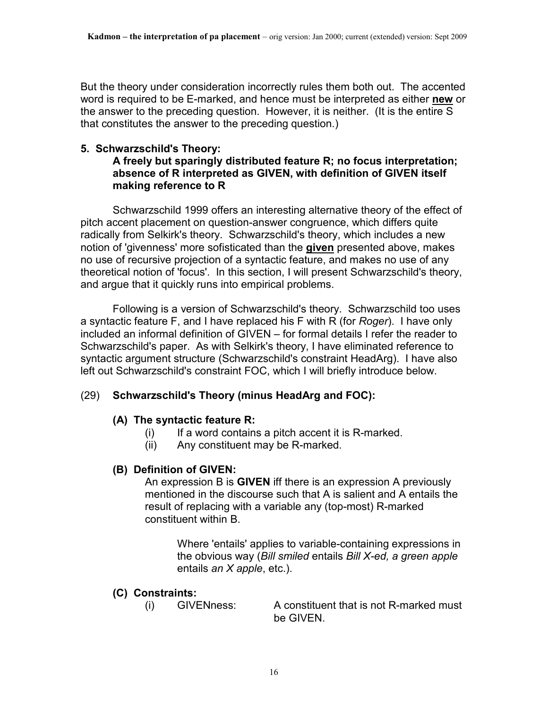But the theory under consideration incorrectly rules them both out. The accented word is required to be E-marked, and hence must be interpreted as either **new** or the answer to the preceding question. However, it is neither. (It is the entire S that constitutes the answer to the preceding question.)

### **5. Schwarzschild's Theory:**

# **A freely but sparingly distributed feature R; no focus interpretation; absence of R interpreted as GIVEN, with definition of GIVEN itself making reference to R**

 Schwarzschild 1999 offers an interesting alternative theory of the effect of pitch accent placement on question-answer congruence, which differs quite radically from Selkirk's theory. Schwarzschild's theory, which includes a new notion of 'givenness' more sofisticated than the **given** presented above, makes no use of recursive projection of a syntactic feature, and makes no use of any theoretical notion of 'focus'. In this section, I will present Schwarzschild's theory, and argue that it quickly runs into empirical problems.

 Following is a version of Schwarzschild's theory. Schwarzschild too uses a syntactic feature F, and I have replaced his F with R (for *Roger*). I have only included an informal definition of GIVEN – for formal details I refer the reader to Schwarzschild's paper. As with Selkirk's theory, I have eliminated reference to syntactic argument structure (Schwarzschild's constraint HeadArg). I have also left out Schwarzschild's constraint FOC, which I will briefly introduce below.

### (29) **Schwarzschild's Theory (minus HeadArg and FOC):**

### **(A) The syntactic feature R:**

- $(i)$  If a word contains a pitch accent it is R-marked.
- (ii) Any constituent may be R-marked.

# **(B) Definition of GIVEN:**

 An expression B is **GIVEN** iff there is an expression A previously mentioned in the discourse such that A is salient and A entails the result of replacing with a variable any (top-most) R-marked constituent within B.

 Where 'entails' applies to variable-containing expressions in the obvious way (*Bill smiled* entails *Bill X-ed, a green apple* entails *an X apple*, etc.).

### **(C) Constraints:**

 (i) GIVENness: A constituent that is not R-marked must be GIVEN.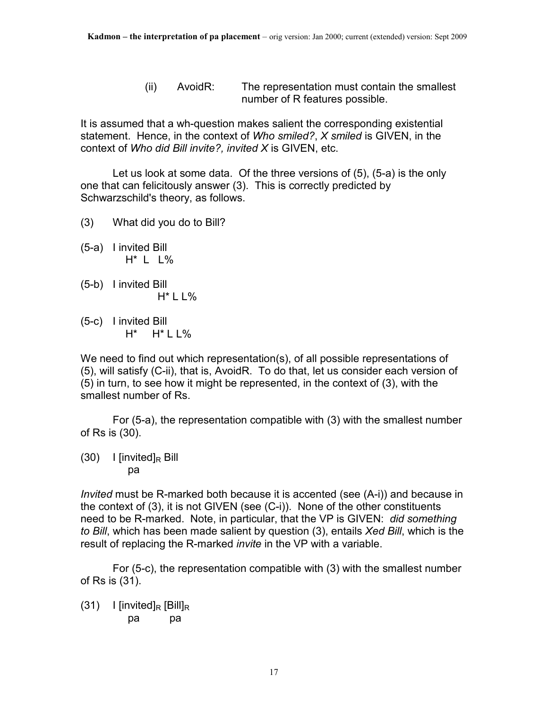(ii) AvoidR: The representation must contain the smallest number of R features possible.

It is assumed that a wh-question makes salient the corresponding existential statement. Hence, in the context of *Who smiled?*, *X smiled* is GIVEN, in the context of *Who did Bill invite?, invited X* is GIVEN, etc.

 Let us look at some data. Of the three versions of (5), (5-a) is the only one that can felicitously answer (3). This is correctly predicted by Schwarzschild's theory, as follows.

- (3) What did you do to Bill?
- (5-a) I invited Bill H\* L L%
- (5-b) I invited Bill H\* L L%
- (5-c) I invited Bill  $H^*$   $H^*$  L L%

We need to find out which representation(s), of all possible representations of (5), will satisfy (C-ii), that is, AvoidR. To do that, let us consider each version of (5) in turn, to see how it might be represented, in the context of (3), with the smallest number of Rs.

 For (5-a), the representation compatible with (3) with the smallest number of Rs is (30).

 $(30)$  I [invited]<sub>R</sub> Bill pa

*Invited* must be R-marked both because it is accented (see (A-i)) and because in the context of (3), it is not GIVEN (see (C-i)). None of the other constituents need to be R-marked. Note, in particular, that the VP is GIVEN: *did something to Bill*, which has been made salient by question (3), entails *Xed Bill*, which is the result of replacing the R-marked *invite* in the VP with a variable.

 For (5-c), the representation compatible with (3) with the smallest number of Rs is (31).

 $(31)$  I [invited]<sub>R</sub> [Bill]<sub>R</sub> pa pa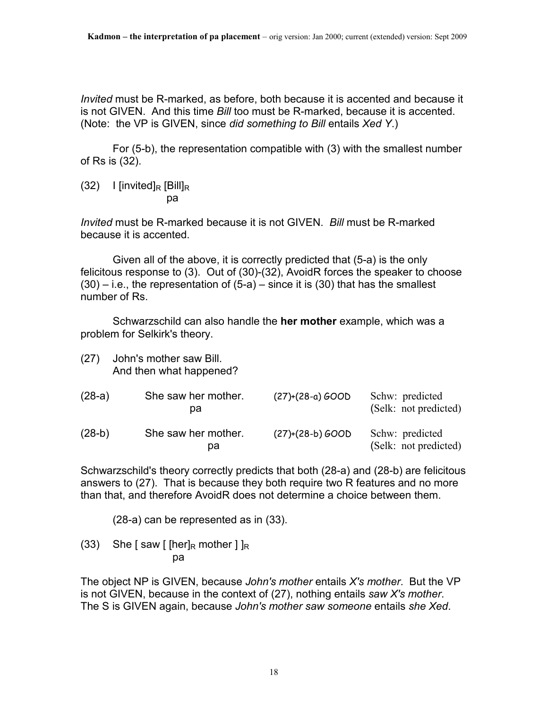*Invited* must be R-marked, as before, both because it is accented and because it is not GIVEN. And this time *Bill* too must be R-marked, because it is accented. (Note: the VP is GIVEN, since *did something to Bill* entails *Xed Y*.)

 For (5-b), the representation compatible with (3) with the smallest number of Rs is (32).

 $(32)$  I [invited]<sub>R</sub> [Bill]<sub>R</sub> pa

*Invited* must be R-marked because it is not GIVEN. *Bill* must be R-marked because it is accented.

 Given all of the above, it is correctly predicted that (5-a) is the only felicitous response to (3). Out of (30)-(32), AvoidR forces the speaker to choose  $(30)$  – i.e., the representation of  $(5-a)$  – since it is  $(30)$  that has the smallest number of Rs.

 Schwarzschild can also handle the **her mother** example, which was a problem for Selkirk's theory.

| (27)     | John's mother saw Bill.<br>And then what happened? |                    |                                          |
|----------|----------------------------------------------------|--------------------|------------------------------------------|
| $(28-a)$ | She saw her mother.<br>рa                          | $(27)+(28-a) GOOD$ | Schw: predicted<br>(Selk: not predicted) |
| $(28-b)$ | She saw her mother.<br>pа                          | $(27)+(28-b) GOOD$ | Schw: predicted<br>(Selk: not predicted) |

Schwarzschild's theory correctly predicts that both (28-a) and (28-b) are felicitous answers to (27). That is because they both require two R features and no more than that, and therefore AvoidR does not determine a choice between them.

(28-a) can be represented as in (33).

(33) She [saw [ [her]<sub>R</sub> mother ] ]<sub>R</sub> pa

The object NP is GIVEN, because *John's mother* entails *X's mother*. But the VP is not GIVEN, because in the context of (27), nothing entails *saw X's mother*. The S is GIVEN again, because *John's mother saw someone* entails *she Xed*.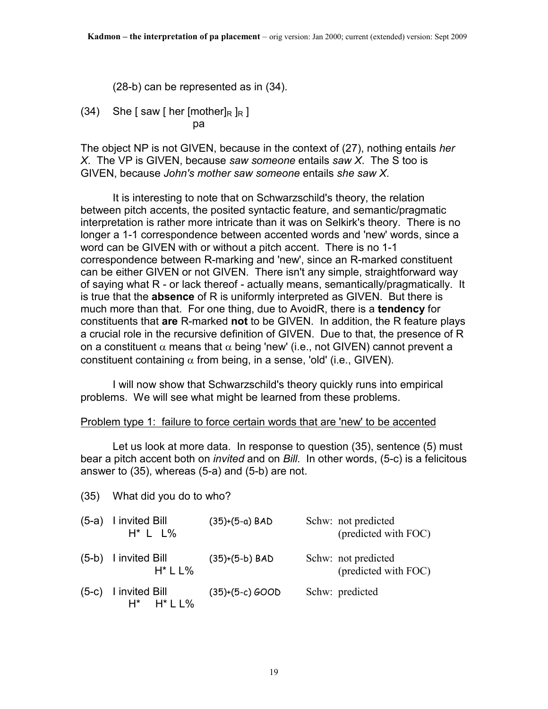(28-b) can be represented as in (34).

(34) She [saw [ her [mother]<sub>R</sub> ]<sub>R</sub> ] pa

The object NP is not GIVEN, because in the context of (27), nothing entails *her X*. The VP is GIVEN, because *saw someone* entails *saw X*. The S too is GIVEN, because *John's mother saw someone* entails *she saw X*.

 It is interesting to note that on Schwarzschild's theory, the relation between pitch accents, the posited syntactic feature, and semantic/pragmatic interpretation is rather more intricate than it was on Selkirk's theory. There is no longer a 1-1 correspondence between accented words and 'new' words, since a word can be GIVEN with or without a pitch accent. There is no 1-1 correspondence between R-marking and 'new', since an R-marked constituent can be either GIVEN or not GIVEN. There isn't any simple, straightforward way of saying what R - or lack thereof - actually means, semantically/pragmatically. It is true that the **absence** of R is uniformly interpreted as GIVEN. But there is much more than that. For one thing, due to AvoidR, there is a **tendency** for constituents that **are** R-marked **not** to be GIVEN. In addition, the R feature plays a crucial role in the recursive definition of GIVEN. Due to that, the presence of R on a constituent  $\alpha$  means that  $\alpha$  being 'new' (i.e., not GIVEN) cannot prevent a constituent containing  $\alpha$  from being, in a sense, 'old' (i.e., GIVEN).

 I will now show that Schwarzschild's theory quickly runs into empirical problems. We will see what might be learned from these problems.

#### Problem type 1: failure to force certain words that are 'new' to be accented

 Let us look at more data. In response to question (35), sentence (5) must bear a pitch accent both on *invited* and on *Bill*. In other words, (5-c) is a felicitous answer to (35), whereas (5-a) and (5-b) are not.

(35) What did you do to who?

| $(5-a)$ I invited Bill<br>$H^*$ L L%       | $(35)+(5-a)$ BAD  | Schw: not predicted<br>(predicted with FOC) |
|--------------------------------------------|-------------------|---------------------------------------------|
| (5-b) I invited Bill<br>$H^*$ L L%         | (35)+(5-b) BAD    | Schw: not predicted<br>(predicted with FOC) |
| $(5-c)$ I invited Bill<br>$H^*$ $H^*$ L L% | $(35)+(5-c) GOOD$ | Schw: predicted                             |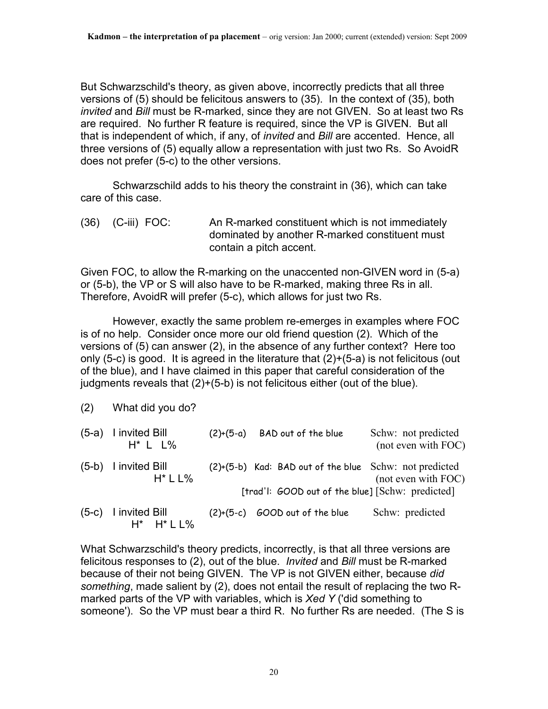But Schwarzschild's theory, as given above, incorrectly predicts that all three versions of (5) should be felicitous answers to (35). In the context of (35), both *invited* and *Bill* must be R-marked, since they are not GIVEN. So at least two Rs are required. No further R feature is required, since the VP is GIVEN. But all that is independent of which, if any, of *invited* and *Bill* are accented. Hence, all three versions of (5) equally allow a representation with just two Rs. So AvoidR does not prefer (5-c) to the other versions.

 Schwarzschild adds to his theory the constraint in (36), which can take care of this case.

(36) (C-iii) FOC: An R-marked constituent which is not immediately dominated by another R-marked constituent must contain a pitch accent.

Given FOC, to allow the R-marking on the unaccented non-GIVEN word in (5-a) or (5-b), the VP or S will also have to be R-marked, making three Rs in all. Therefore, AvoidR will prefer (5-c), which allows for just two Rs.

 However, exactly the same problem re-emerges in examples where FOC is of no help. Consider once more our old friend question (2). Which of the versions of (5) can answer (2), in the absence of any further context? Here too only (5-c) is good. It is agreed in the literature that (2)+(5-a) is not felicitous (out of the blue), and I have claimed in this paper that careful consideration of the judgments reveals that (2)+(5-b) is not felicitous either (out of the blue).

<sup>(2)</sup> What did you do?

| $(5-a)$ | I invited Bill<br>$H^*$ L L%               | $(2)+(5-a)$ | BAD out of the blue                                                                                        | Schw: not predicted<br>(not even with FOC) |
|---------|--------------------------------------------|-------------|------------------------------------------------------------------------------------------------------------|--------------------------------------------|
| $(5-b)$ | I invited Bill<br>$H^*$ L L%               |             | (2)+(5-b) Kad: BAD out of the blue Schw: not predicted<br>[trad'l: GOOD out of the blue] [Schw: predicted] | (not even with FOC)                        |
| $(5-c)$ | I invited Bill<br>$H^*$ $H^*$ $L$ $L$ $\%$ | $(2)+(5-c)$ | GOOD out of the blue                                                                                       | Schw: predicted                            |

What Schwarzschild's theory predicts, incorrectly, is that all three versions are felicitous responses to (2), out of the blue. *Invited* and *Bill* must be R-marked because of their not being GIVEN. The VP is not GIVEN either, because *did something*, made salient by (2), does not entail the result of replacing the two Rmarked parts of the VP with variables, which is *Xed Y* ('did something to someone'). So the VP must bear a third R. No further Rs are needed. (The S is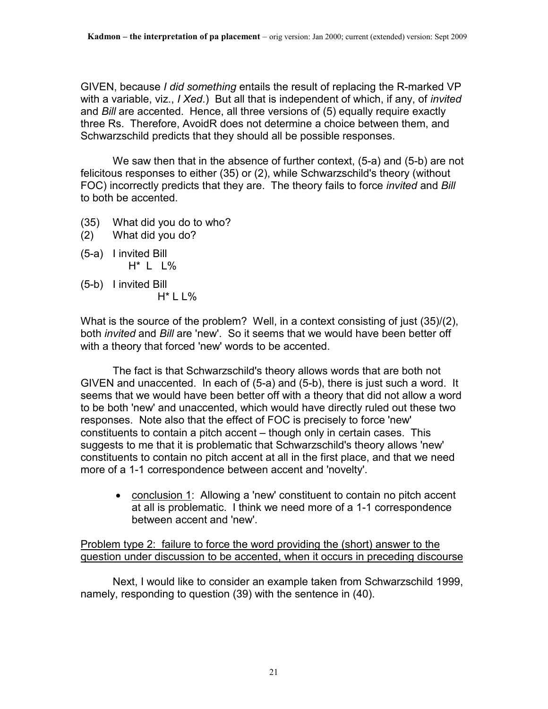GIVEN, because *I did something* entails the result of replacing the R-marked VP with a variable, viz., *I Xed*.) But all that is independent of which, if any, of *invited* and *Bill* are accented. Hence, all three versions of (5) equally require exactly three Rs. Therefore, AvoidR does not determine a choice between them, and Schwarzschild predicts that they should all be possible responses.

 We saw then that in the absence of further context, (5-a) and (5-b) are not felicitous responses to either (35) or (2), while Schwarzschild's theory (without FOC) incorrectly predicts that they are. The theory fails to force *invited* and *Bill* to both be accented.

- (35) What did you do to who?
- (2) What did you do?
- (5-a) I invited Bill H\* L L%
- (5-b) I invited Bill
	- H\* L L%

What is the source of the problem? Well, in a context consisting of just (35)/(2), both *invited* and *Bill* are 'new'. So it seems that we would have been better off with a theory that forced 'new' words to be accented.

 The fact is that Schwarzschild's theory allows words that are both not GIVEN and unaccented. In each of (5-a) and (5-b), there is just such a word. It seems that we would have been better off with a theory that did not allow a word to be both 'new' and unaccented, which would have directly ruled out these two responses. Note also that the effect of FOC is precisely to force 'new' constituents to contain a pitch accent – though only in certain cases. This suggests to me that it is problematic that Schwarzschild's theory allows 'new' constituents to contain no pitch accent at all in the first place, and that we need more of a 1-1 correspondence between accent and 'novelty'.

• conclusion 1: Allowing a 'new' constituent to contain no pitch accent at all is problematic. I think we need more of a 1-1 correspondence between accent and 'new'.

Problem type 2: failure to force the word providing the (short) answer to the question under discussion to be accented, when it occurs in preceding discourse

 Next, I would like to consider an example taken from Schwarzschild 1999, namely, responding to question (39) with the sentence in (40).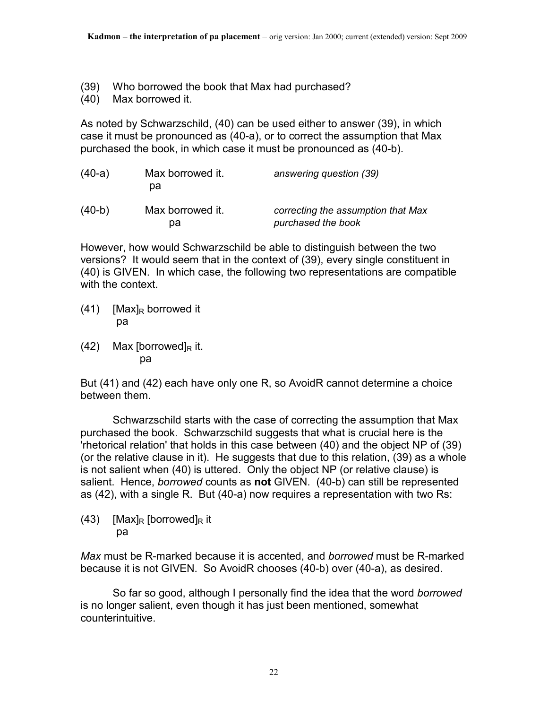- (39) Who borrowed the book that Max had purchased?
- (40) Max borrowed it.

As noted by Schwarzschild, (40) can be used either to answer (39), in which case it must be pronounced as (40-a), or to correct the assumption that Max purchased the book, in which case it must be pronounced as (40-b).

| $(40-a)$ | Max borrowed it.<br>pa | answering question (39)                                  |
|----------|------------------------|----------------------------------------------------------|
| $(40-b)$ | Max borrowed it.<br>pа | correcting the assumption that Max<br>purchased the book |

However, how would Schwarzschild be able to distinguish between the two versions? It would seem that in the context of (39), every single constituent in (40) is GIVEN. In which case, the following two representations are compatible with the context.

- (41) [Max]<sub>R</sub> borrowed it pa
- $(42)$  Max [borrowed]<sub>R</sub> it. pa

But (41) and (42) each have only one R, so AvoidR cannot determine a choice between them.

 Schwarzschild starts with the case of correcting the assumption that Max purchased the book. Schwarzschild suggests that what is crucial here is the 'rhetorical relation' that holds in this case between (40) and the object NP of (39) (or the relative clause in it). He suggests that due to this relation, (39) as a whole is not salient when (40) is uttered. Only the object NP (or relative clause) is salient. Hence, *borrowed* counts as **not** GIVEN. (40-b) can still be represented as (42), with a single R. But (40-a) now requires a representation with two Rs:

(43) [Max]<sub>R</sub> [borrowed]<sub>R</sub> it pa

*Max* must be R-marked because it is accented, and *borrowed* must be R-marked because it is not GIVEN. So AvoidR chooses (40-b) over (40-a), as desired.

 So far so good, although I personally find the idea that the word *borrowed* is no longer salient, even though it has just been mentioned, somewhat counterintuitive.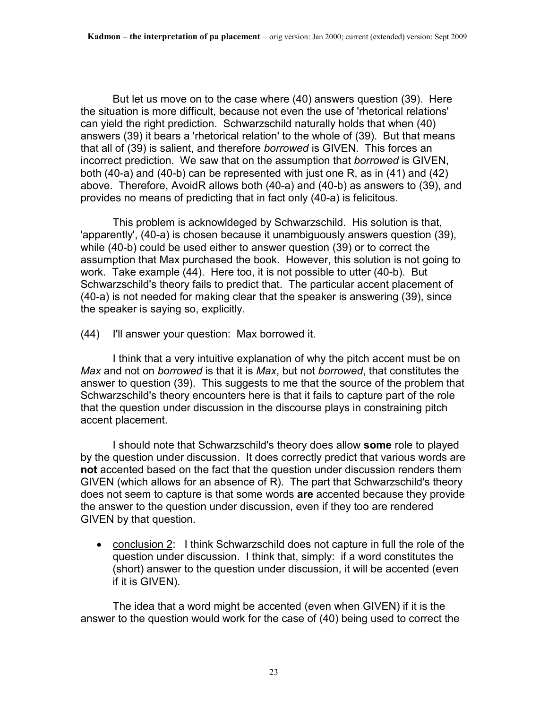But let us move on to the case where (40) answers question (39). Here the situation is more difficult, because not even the use of 'rhetorical relations' can yield the right prediction. Schwarzschild naturally holds that when (40) answers (39) it bears a 'rhetorical relation' to the whole of (39). But that means that all of (39) is salient, and therefore *borrowed* is GIVEN. This forces an incorrect prediction. We saw that on the assumption that *borrowed* is GIVEN, both (40-a) and (40-b) can be represented with just one R, as in (41) and (42) above. Therefore, AvoidR allows both (40-a) and (40-b) as answers to (39), and provides no means of predicting that in fact only (40-a) is felicitous.

 This problem is acknowldeged by Schwarzschild. His solution is that, 'apparently', (40-a) is chosen because it unambiguously answers question (39), while (40-b) could be used either to answer question (39) or to correct the assumption that Max purchased the book. However, this solution is not going to work. Take example (44). Here too, it is not possible to utter (40-b). But Schwarzschild's theory fails to predict that. The particular accent placement of (40-a) is not needed for making clear that the speaker is answering (39), since the speaker is saying so, explicitly.

(44) I'll answer your question: Max borrowed it.

 I think that a very intuitive explanation of why the pitch accent must be on *Max* and not on *borrowed* is that it is *Max*, but not *borrowed*, that constitutes the answer to question (39). This suggests to me that the source of the problem that Schwarzschild's theory encounters here is that it fails to capture part of the role that the question under discussion in the discourse plays in constraining pitch accent placement.

 I should note that Schwarzschild's theory does allow **some** role to played by the question under discussion. It does correctly predict that various words are **not** accented based on the fact that the question under discussion renders them GIVEN (which allows for an absence of R). The part that Schwarzschild's theory does not seem to capture is that some words **are** accented because they provide the answer to the question under discussion, even if they too are rendered GIVEN by that question.

• conclusion 2: I think Schwarzschild does not capture in full the role of the question under discussion. I think that, simply: if a word constitutes the (short) answer to the question under discussion, it will be accented (even if it is GIVEN).

 The idea that a word might be accented (even when GIVEN) if it is the answer to the question would work for the case of (40) being used to correct the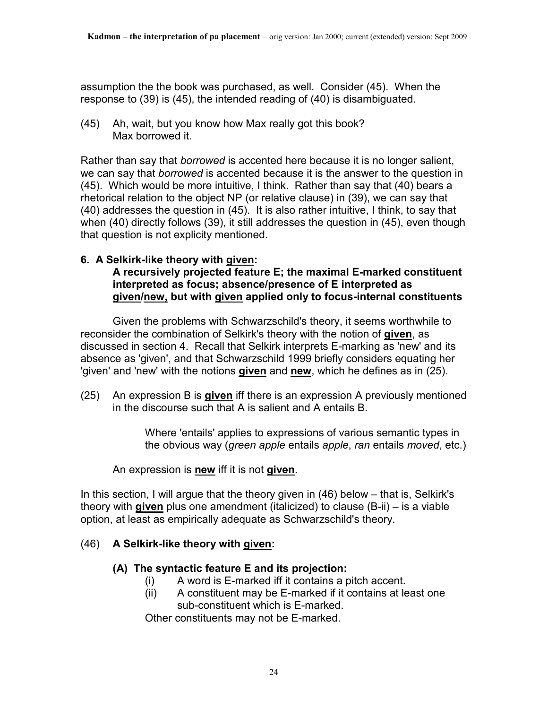assumption the the book was purchased, as well. Consider (45). When the response to (39) is (45), the intended reading of (40) is disambiguated.

(45) Ah, wait, but you know how Max really got this book? Max borrowed it.

Rather than say that *borrowed* is accented here because it is no longer salient, we can say that *borrowed* is accented because it is the answer to the question in (45). Which would be more intuitive, I think. Rather than say that (40) bears a rhetorical relation to the object NP (or relative clause) in (39), we can say that (40) addresses the question in (45). It is also rather intuitive, I think, to say that when (40) directly follows (39), it still addresses the question in (45), even though that question is not explicity mentioned.

# **6. A Selkirk-like theory with given:**

#### **A recursively projected feature E; the maximal E-marked constituent interpreted as focus; absence/presence of E interpreted as given/new, but with given applied only to focus-internal constituents**

 Given the problems with Schwarzschild's theory, it seems worthwhile to reconsider the combination of Selkirk's theory with the notion of **given**, as discussed in section 4. Recall that Selkirk interprets E-marking as 'new' and its absence as 'given', and that Schwarzschild 1999 briefly considers equating her 'given' and 'new' with the notions **given** and **new**, which he defines as in (25).

(25) An expression B is **given** iff there is an expression A previously mentioned in the discourse such that A is salient and A entails B.

> Where 'entails' applies to expressions of various semantic types in the obvious way (*green apple* entails *apple*, *ran* entails *moved*, etc.)

An expression is **new** iff it is not **given**.

In this section, I will argue that the theory given in (46) below – that is, Selkirk's theory with **given** plus one amendment (italicized) to clause (B-ii) – is a viable option, at least as empirically adequate as Schwarzschild's theory.

# (46) **A Selkirk-like theory with given:**

### **(A) The syntactic feature E and its projection:**

- (i) A word is E-marked iff it contains a pitch accent.
- (ii) A constituent may be E-marked if it contains at least one sub-constituent which is E-marked.

Other constituents may not be E-marked.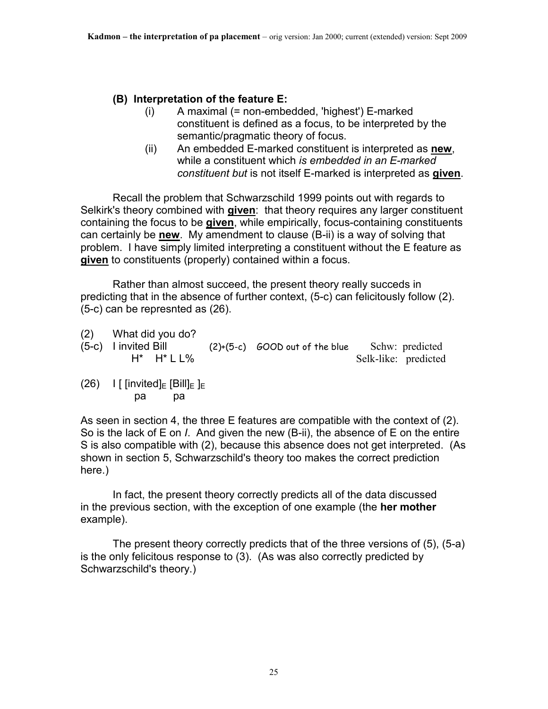### **(B) Interpretation of the feature E:**

- (i) A maximal (= non-embedded, 'highest') E-marked constituent is defined as a focus, to be interpreted by the semantic/pragmatic theory of focus.
- (ii) An embedded E-marked constituent is interpreted as **new**, while a constituent which *is embedded in an E-marked constituent but* is not itself E-marked is interpreted as **given**.

 Recall the problem that Schwarzschild 1999 points out with regards to Selkirk's theory combined with **given**: that theory requires any larger constituent containing the focus to be **given**, while empirically, focus-containing constituents can certainly be **new**. My amendment to clause (B-ii) is a way of solving that problem. I have simply limited interpreting a constituent without the E feature as **given** to constituents (properly) contained within a focus.

 Rather than almost succeed, the present theory really succeds in predicting that in the absence of further context, (5-c) can felicitously follow (2). (5-c) can be represnted as (26).

- (2) What did you do?
- (5-c) I invited Bill (2)+(5-c) GOOD out of the blue Schw: predicted H\* H\* L L% Selk-like: predicted
- (26) I [ [invited] $E$  [Bill] $E$ ] $E$ pa pa

As seen in section 4, the three E features are compatible with the context of (2). So is the lack of E on *I*. And given the new (B-ii), the absence of E on the entire S is also compatible with (2), because this absence does not get interpreted. (As shown in section 5, Schwarzschild's theory too makes the correct prediction here.)

 In fact, the present theory correctly predicts all of the data discussed in the previous section, with the exception of one example (the **her mother** example).

 The present theory correctly predicts that of the three versions of (5), (5-a) is the only felicitous response to (3). (As was also correctly predicted by Schwarzschild's theory.)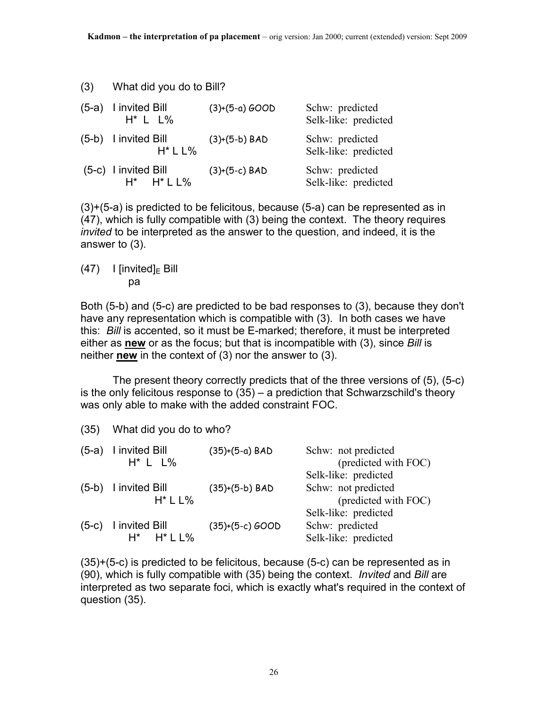(3) What did you do to Bill?

| $(5-a)$ I invited Bill<br>$H^*$ L L%                              | $(3)+(5-a)$ GOOD | Schw: predicted<br>Selk-like: predicted |
|-------------------------------------------------------------------|------------------|-----------------------------------------|
| (5-b) I invited Bill<br>$H^*$ L L%                                | $(3)+(5-b)$ BAD  | Schw: predicted<br>Selk-like: predicted |
| $(5-c)$ I invited Bill<br>$H^*$ $H^*$ $\mathsf{L}\, \mathsf{L}\%$ | $(3)+(5-c)$ BAD  | Schw: predicted<br>Selk-like: predicted |

(3)+(5-a) is predicted to be felicitous, because (5-a) can be represented as in (47), which is fully compatible with (3) being the context. The theory requires *invited* to be interpreted as the answer to the question, and indeed, it is the answer to (3).

 $(47)$  I [invited]<sub>E</sub> Bill pa

Both (5-b) and (5-c) are predicted to be bad responses to (3), because they don't have any representation which is compatible with (3). In both cases we have this: *Bill* is accented, so it must be E-marked; therefore, it must be interpreted either as **new** or as the focus; but that is incompatible with (3), since *Bill* is neither **new** in the context of (3) nor the answer to (3).

 The present theory correctly predicts that of the three versions of (5), (5-c) is the only felicitous response to (35) – a prediction that Schwarzschild's theory was only able to make with the added constraint FOC.

| (35)    | What did you do to who?                       |                   |                                                                     |
|---------|-----------------------------------------------|-------------------|---------------------------------------------------------------------|
| $(5-a)$ | I invited Bill<br>$H^*$ L $L\%$               | $(35)+(5-a)$ BAD  | Schw: not predicted<br>(predicted with FOC)<br>Selk-like: predicted |
| $(5-b)$ | I invited Bill<br>$H^*$ L L%                  | $(35)+(5-b)$ BAD  | Schw: not predicted<br>(predicted with FOC)<br>Selk-like: predicted |
| $(5-c)$ | I invited Bill<br>$H^*$ $H^*$   $\frac{1}{6}$ | $(35)+(5-c)$ GOOD | Schw: predicted<br>Selk-like: predicted                             |

(35)+(5-c) is predicted to be felicitous, because (5-c) can be represented as in (90), which is fully compatible with (35) being the context. *Invited* and *Bill* are interpreted as two separate foci, which is exactly what's required in the context of question (35).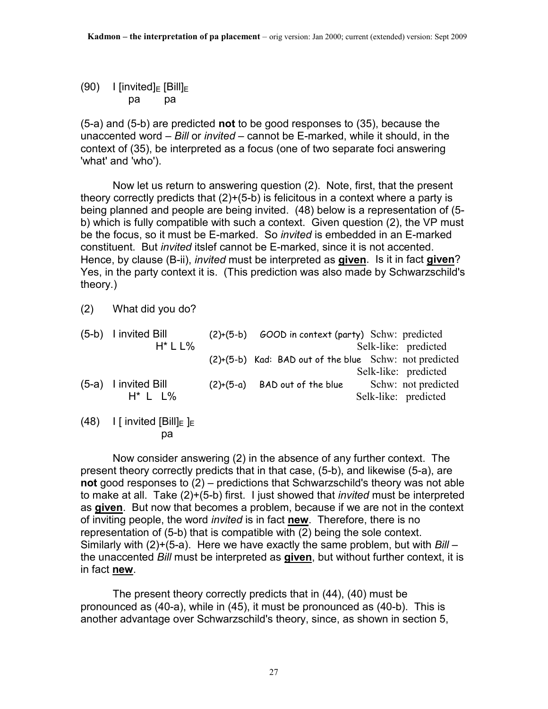(90) I [invited] $E$  [Bill] $E$ pa pa

(5-a) and (5-b) are predicted **not** to be good responses to (35), because the unaccented word – *Bill* or *invited –* cannot be E-marked, while it should, in the context of (35), be interpreted as a focus (one of two separate foci answering 'what' and 'who').

 Now let us return to answering question (2). Note, first, that the present theory correctly predicts that  $(2)+(5-b)$  is felicitous in a context where a party is being planned and people are being invited. (48) below is a representation of (5 b) which is fully compatible with such a context. Given question (2), the VP must be the focus, so it must be E-marked. So *invited* is embedded in an E-marked constituent. But *invited* itslef cannot be E-marked, since it is not accented. Hence, by clause (B-ii), *invited* must be interpreted as **given**. Is it in fact **given**? Yes, in the party context it is. (This prediction was also made by Schwarzschild's theory.)

(2) What did you do?

| (5-b) I invited Bill   | (2)+(5-b) | GOOD in context (party) Schw: predicted                |                      |
|------------------------|-----------|--------------------------------------------------------|----------------------|
| $H^*$   $\frac{1}{6}$  |           |                                                        | Selk-like: predicted |
|                        |           | (2)+(5-b) Kad: BAD out of the blue Schw: not predicted |                      |
|                        |           |                                                        | Selk-like: predicted |
| $(5-a)$ I invited Bill |           | $(2)+(5-a)$ BAD out of the blue                        | Schw: not predicted  |
| $H^*$ L L%             |           |                                                        | Selk-like: predicted |
|                        |           |                                                        |                      |

(48) I [ invited  $[Blill]_E$  ]<sub>E</sub> pa

 Now consider answering (2) in the absence of any further context. The present theory correctly predicts that in that case, (5-b), and likewise (5-a), are **not** good responses to (2) – predictions that Schwarzschild's theory was not able to make at all. Take (2)+(5-b) first. I just showed that *invited* must be interpreted as **given**. But now that becomes a problem, because if we are not in the context of inviting people, the word *invited* is in fact **new**. Therefore, there is no representation of (5-b) that is compatible with (2) being the sole context. Similarly with (2)+(5-a). Here we have exactly the same problem, but with *Bill* – the unaccented *Bill* must be interpreted as **given**, but without further context, it is in fact **new**.

 The present theory correctly predicts that in (44), (40) must be pronounced as (40-a), while in (45), it must be pronounced as (40-b). This is another advantage over Schwarzschild's theory, since, as shown in section 5,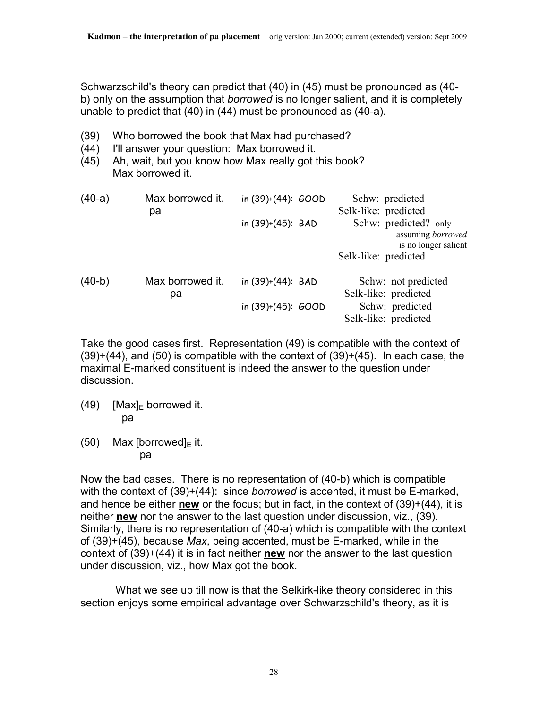Schwarzschild's theory can predict that (40) in (45) must be pronounced as (40 b) only on the assumption that *borrowed* is no longer salient, and it is completely unable to predict that (40) in (44) must be pronounced as (40-a).

- (39) Who borrowed the book that Max had purchased?
- (44) I'll answer your question: Max borrowed it.
- (45) Ah, wait, but you know how Max really got this book? Max borrowed it.

| $(40-a)$ | Max borrowed it. | in $(39)+(44)$ : $600D$ | Schw: predicted       |
|----------|------------------|-------------------------|-----------------------|
|          | pa               |                         | Selk-like: predicted  |
|          |                  | in (39)+(45): BAD       | Schw: predicted? only |
|          |                  |                         | assuming borrowed     |
|          |                  |                         | is no longer salient  |
|          |                  |                         | Selk-like: predicted  |
| $(40-b)$ | Max borrowed it. | in $(39)+(44)$ : BAD    | Schw: not predicted   |
|          | pa               |                         | Selk-like: predicted  |
|          |                  | in $(39)+(45)$ : $600D$ | Schw: predicted       |
|          |                  |                         | Selk-like: predicted  |

Take the good cases first. Representation (49) is compatible with the context of  $(39)+(44)$ , and  $(50)$  is compatible with the context of  $(39)+(45)$ . In each case, the maximal E-marked constituent is indeed the answer to the question under discussion.

- $(49)$  [Max]<sub>F</sub> borrowed it. pa
- (50) Max [borrowed] $E$  it. pa

Now the bad cases. There is no representation of (40-b) which is compatible with the context of (39)+(44): since *borrowed* is accented, it must be E-marked, and hence be either **new** or the focus; but in fact, in the context of (39)+(44), it is neither **new** nor the answer to the last question under discussion, viz., (39). Similarly, there is no representation of (40-a) which is compatible with the context of (39)+(45), because *Max*, being accented, must be E-marked, while in the context of (39)+(44) it is in fact neither **new** nor the answer to the last question under discussion, viz., how Max got the book.

 What we see up till now is that the Selkirk-like theory considered in this section enjoys some empirical advantage over Schwarzschild's theory, as it is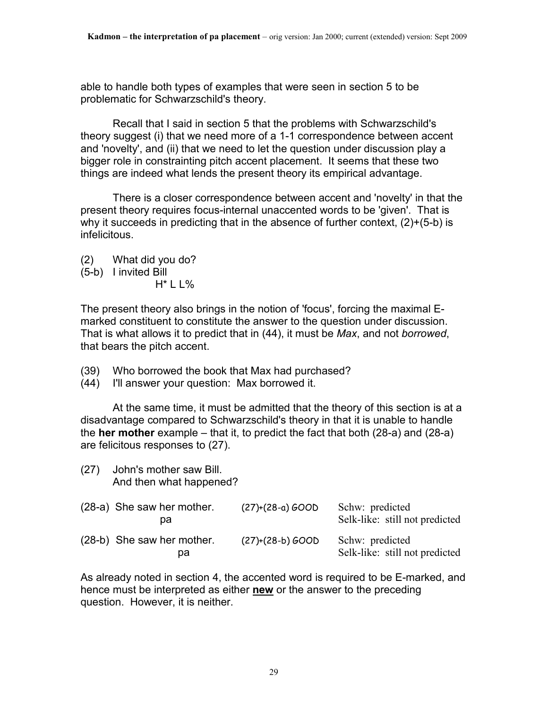able to handle both types of examples that were seen in section 5 to be problematic for Schwarzschild's theory.

 Recall that I said in section 5 that the problems with Schwarzschild's theory suggest (i) that we need more of a 1-1 correspondence between accent and 'novelty', and (ii) that we need to let the question under discussion play a bigger role in constrainting pitch accent placement. It seems that these two things are indeed what lends the present theory its empirical advantage.

 There is a closer correspondence between accent and 'novelty' in that the present theory requires focus-internal unaccented words to be 'given'. That is why it succeeds in predicting that in the absence of further context, (2)+(5-b) is infelicitous.

- (2) What did you do?
- (5-b) I invited Bill
	- H\* L L%

The present theory also brings in the notion of 'focus', forcing the maximal Emarked constituent to constitute the answer to the question under discussion. That is what allows it to predict that in (44), it must be *Max*, and not *borrowed*, that bears the pitch accent.

- (39) Who borrowed the book that Max had purchased?
- (44) I'll answer your question: Max borrowed it.

 At the same time, it must be admitted that the theory of this section is at a disadvantage compared to Schwarzschild's theory in that it is unable to handle the **her mother** example – that it, to predict the fact that both (28-a) and (28-a) are felicitous responses to (27).

(27) John's mother saw Bill. And then what happened?

| (28-a) She saw her mother.<br>pa | $(27)+(28-a) GOOD$ | Schw: predicted<br>Selk-like: still not predicted |
|----------------------------------|--------------------|---------------------------------------------------|
| (28-b) She saw her mother.<br>pa | $(27)+(28-b) GOOD$ | Schw: predicted<br>Selk-like: still not predicted |

As already noted in section 4, the accented word is required to be E-marked, and hence must be interpreted as either **new** or the answer to the preceding question. However, it is neither.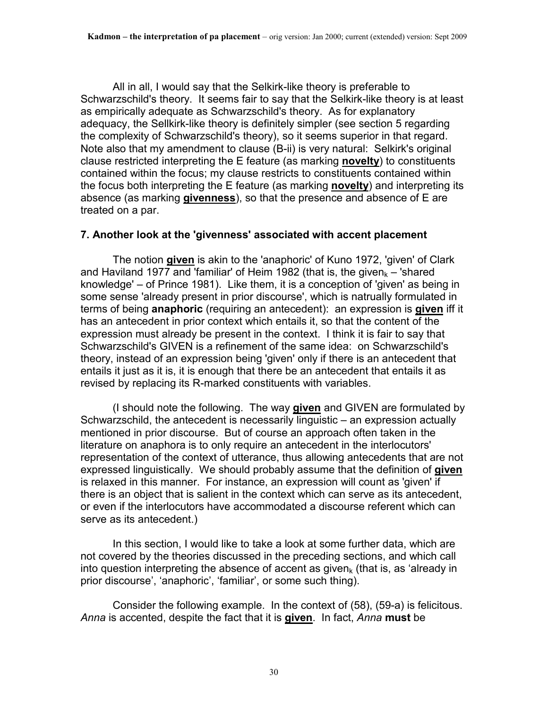All in all, I would say that the Selkirk-like theory is preferable to Schwarzschild's theory. It seems fair to say that the Selkirk-like theory is at least as empirically adequate as Schwarzschild's theory. As for explanatory adequacy, the Sellkirk-like theory is definitely simpler (see section 5 regarding the complexity of Schwarzschild's theory), so it seems superior in that regard. Note also that my amendment to clause (B-ii) is very natural: Selkirk's original clause restricted interpreting the E feature (as marking **novelty**) to constituents contained within the focus; my clause restricts to constituents contained within the focus both interpreting the E feature (as marking **novelty**) and interpreting its absence (as marking **givenness**), so that the presence and absence of E are treated on a par.

#### **7. Another look at the 'givenness' associated with accent placement**

The notion **given** is akin to the 'anaphoric' of Kuno 1972, 'given' of Clark and Haviland 1977 and 'familiar' of Heim 1982 (that is, the given $k - 1$ 'shared knowledge' – of Prince 1981). Like them, it is a conception of 'given' as being in some sense 'already present in prior discourse', which is natrually formulated in terms of being **anaphoric** (requiring an antecedent): an expression is **given** iff it has an antecedent in prior context which entails it, so that the content of the expression must already be present in the context. I think it is fair to say that Schwarzschild's GIVEN is a refinement of the same idea: on Schwarzschild's theory, instead of an expression being 'given' only if there is an antecedent that entails it just as it is, it is enough that there be an antecedent that entails it as revised by replacing its R-marked constituents with variables.

 (I should note the following. The way **given** and GIVEN are formulated by Schwarzschild, the antecedent is necessarily linguistic – an expression actually mentioned in prior discourse. But of course an approach often taken in the literature on anaphora is to only require an antecedent in the interlocutors' representation of the context of utterance, thus allowing antecedents that are not expressed linguistically. We should probably assume that the definition of **given** is relaxed in this manner. For instance, an expression will count as 'given' if there is an object that is salient in the context which can serve as its antecedent, or even if the interlocutors have accommodated a discourse referent which can serve as its antecedent.)

 In this section, I would like to take a look at some further data, which are not covered by the theories discussed in the preceding sections, and which call into question interpreting the absence of accent as given<sub>k</sub> (that is, as 'already in prior discourse', 'anaphoric', 'familiar', or some such thing).

 Consider the following example. In the context of (58), (59-a) is felicitous. *Anna* is accented, despite the fact that it is **given**. In fact, *Anna* **must** be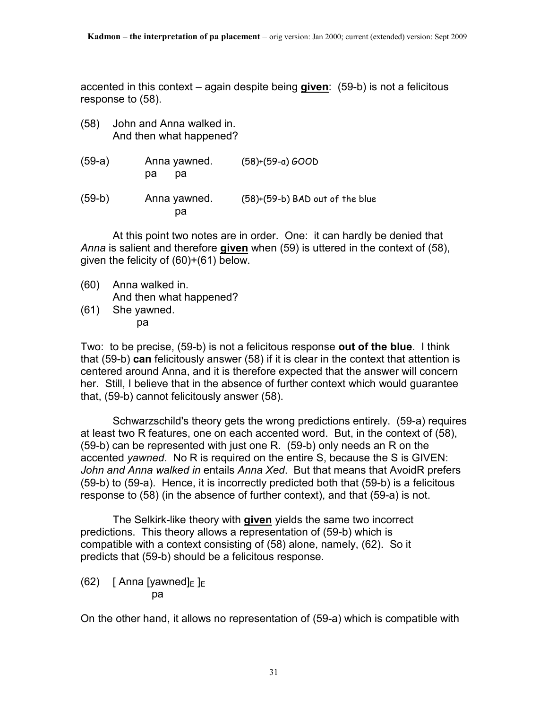accented in this context – again despite being **given**: (59-b) is not a felicitous response to (58).

- (58) John and Anna walked in. And then what happened?
- (59-a) Anna yawned. (58)+(59-a) GOOD pa pa

(59-b) Anna yawned. (58)+(59-b) BAD out of the blue pa

 At this point two notes are in order. One: it can hardly be denied that *Anna* is salient and therefore **given** when (59) is uttered in the context of (58), given the felicity of (60)+(61) below.

- (60) Anna walked in. And then what happened?<br>(61) She yawned.
- She yawned. pa

Two: to be precise, (59-b) is not a felicitous response **out of the blue**. I think that (59-b) **can** felicitously answer (58) if it is clear in the context that attention is centered around Anna, and it is therefore expected that the answer will concern her. Still, I believe that in the absence of further context which would guarantee that, (59-b) cannot felicitously answer (58).

 Schwarzschild's theory gets the wrong predictions entirely. (59-a) requires at least two R features, one on each accented word. But, in the context of (58), (59-b) can be represented with just one R. (59-b) only needs an R on the accented *yawned*. No R is required on the entire S, because the S is GIVEN: *John and Anna walked in* entails *Anna Xed*. But that means that AvoidR prefers (59-b) to (59-a). Hence, it is incorrectly predicted both that (59-b) is a felicitous response to (58) (in the absence of further context), and that (59-a) is not.

 The Selkirk-like theory with **given** yields the same two incorrect predictions. This theory allows a representation of (59-b) which is compatible with a context consisting of (58) alone, namely, (62). So it predicts that (59-b) should be a felicitous response.

(62) [ Anna [yawned] $E$ ] pa

On the other hand, it allows no representation of (59-a) which is compatible with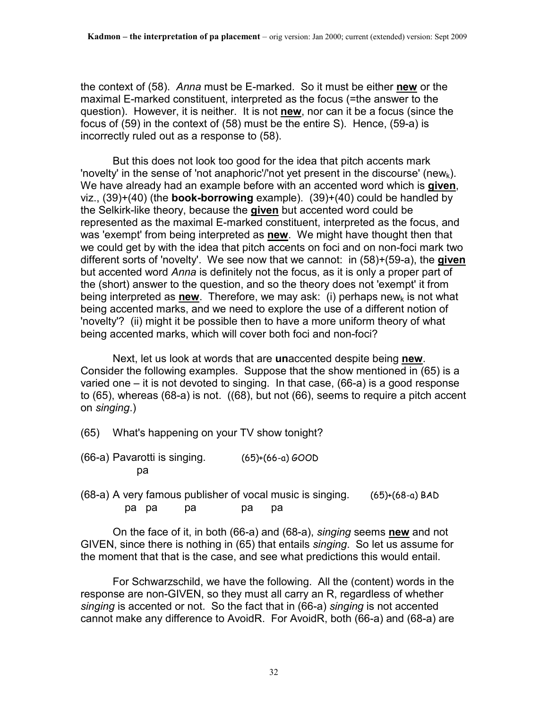the context of (58). *Anna* must be E-marked. So it must be either **new** or the maximal E-marked constituent, interpreted as the focus (=the answer to the question). However, it is neither. It is not **new**, nor can it be a focus (since the focus of (59) in the context of (58) must be the entire S). Hence, (59-a) is incorrectly ruled out as a response to (58).

 But this does not look too good for the idea that pitch accents mark 'novelty' in the sense of 'not anaphoric'/'not yet present in the discourse' (new<sub>k</sub>). We have already had an example before with an accented word which is **given**, viz., (39)+(40) (the **book-borrowing** example). (39)+(40) could be handled by the Selkirk-like theory, because the **given** but accented word could be represented as the maximal E-marked constituent, interpreted as the focus, and was 'exempt' from being interpreted as **new**. We might have thought then that we could get by with the idea that pitch accents on foci and on non-foci mark two different sorts of 'novelty'. We see now that we cannot: in (58)+(59-a), the **given** but accented word *Anna* is definitely not the focus, as it is only a proper part of the (short) answer to the question, and so the theory does not 'exempt' it from being interpreted as **new**. Therefore, we may ask: (i) perhaps newk is not what being accented marks, and we need to explore the use of a different notion of 'novelty'? (ii) might it be possible then to have a more uniform theory of what being accented marks, which will cover both foci and non-foci?

 Next, let us look at words that are **un**accented despite being **new**. Consider the following examples. Suppose that the show mentioned in (65) is a varied one – it is not devoted to singing. In that case, (66-a) is a good response to (65), whereas (68-a) is not. ((68), but not (66), seems to require a pitch accent on *singing*.)

- (65) What's happening on your TV show tonight?
- (66-a) Pavarotti is singing. (65)+(66-a) GOOD pa
- (68-a) A very famous publisher of vocal music is singing. (65)+(68-a) BAD pa pa pa pa pa

 On the face of it, in both (66-a) and (68-a), *singing* seems **new** and not GIVEN, since there is nothing in (65) that entails *singing*. So let us assume for the moment that that is the case, and see what predictions this would entail.

 For Schwarzschild, we have the following. All the (content) words in the response are non-GIVEN, so they must all carry an R, regardless of whether *singing* is accented or not. So the fact that in (66-a) *singing* is not accented cannot make any difference to AvoidR. For AvoidR, both (66-a) and (68-a) are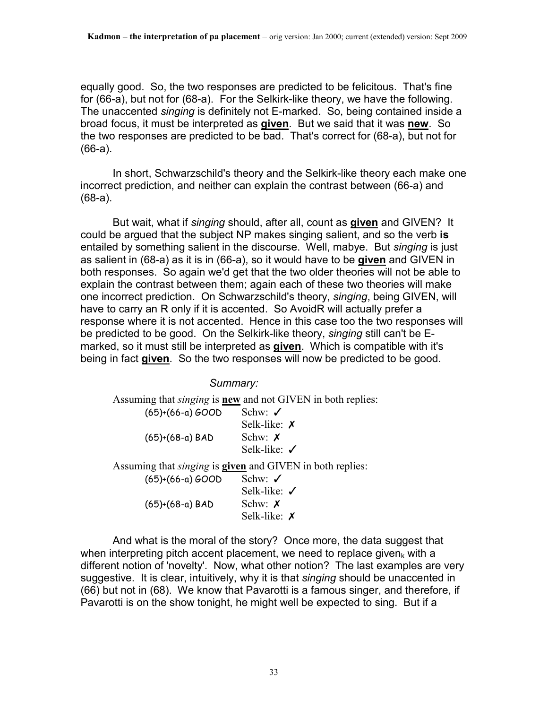equally good. So, the two responses are predicted to be felicitous. That's fine for (66-a), but not for (68-a). For the Selkirk-like theory, we have the following. The unaccented *singing* is definitely not E-marked. So, being contained inside a broad focus, it must be interpreted as **given**. But we said that it was **new**. So the two responses are predicted to be bad. That's correct for (68-a), but not for (66-a).

 In short, Schwarzschild's theory and the Selkirk-like theory each make one incorrect prediction, and neither can explain the contrast between (66-a) and (68-a).

 But wait, what if *singing* should, after all, count as **given** and GIVEN? It could be argued that the subject NP makes singing salient, and so the verb **is** entailed by something salient in the discourse. Well, mabye. But *singing* is just as salient in (68-a) as it is in (66-a), so it would have to be **given** and GIVEN in both responses. So again we'd get that the two older theories will not be able to explain the contrast between them; again each of these two theories will make one incorrect prediction. On Schwarzschild's theory, *singing*, being GIVEN, will have to carry an R only if it is accented. So AvoidR will actually prefer a response where it is not accented. Hence in this case too the two responses will be predicted to be good. On the Selkirk-like theory, *singing* still can't be Emarked, so it must still be interpreted as **given**. Which is compatible with it's being in fact **given**. So the two responses will now be predicted to be good.

*Summary:*

Assuming that *singing* is **new** and not GIVEN in both replies:

| $(65)+(66-a) GOOD$ | Schw: $\checkmark$      |
|--------------------|-------------------------|
|                    | Selk-like: $\chi$       |
| $(65)+(68-a)$ BAD  | Schw: $\chi$            |
|                    | Selk-like: $\checkmark$ |
|                    |                         |

Assuming that *singing* is **given** and GIVEN in both replies:

| Schw: $\checkmark$      |
|-------------------------|
| Selk-like: $\checkmark$ |
| Schw: $\chi$            |
| Selk-like: $\chi$       |
|                         |

 And what is the moral of the story? Once more, the data suggest that when interpreting pitch accent placement, we need to replace given<sub>k</sub> with a different notion of 'novelty'. Now, what other notion? The last examples are very suggestive. It is clear, intuitively, why it is that *singing* should be unaccented in (66) but not in (68). We know that Pavarotti is a famous singer, and therefore, if Pavarotti is on the show tonight, he might well be expected to sing. But if a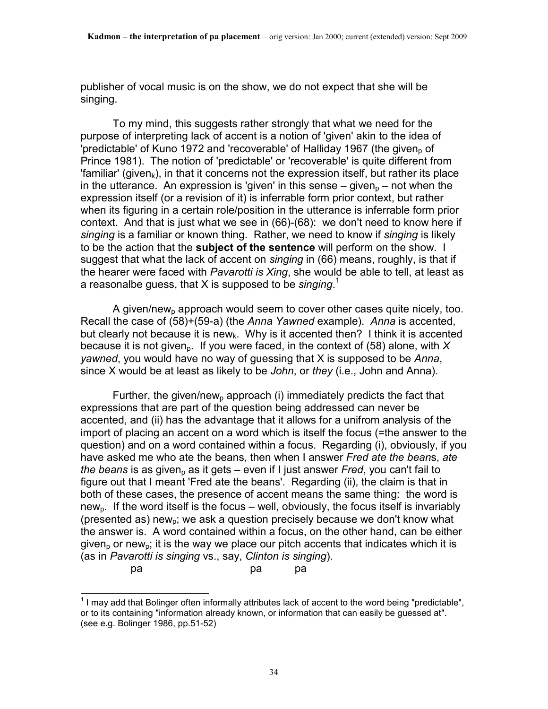publisher of vocal music is on the show, we do not expect that she will be singing.

 To my mind, this suggests rather strongly that what we need for the purpose of interpreting lack of accent is a notion of 'given' akin to the idea of 'predictable' of Kuno 1972 and 'recoverable' of Halliday 1967 (the given, of Prince 1981). The notion of 'predictable' or 'recoverable' is quite different from 'familiar' (given<sub>k</sub>), in that it concerns not the expression itself, but rather its place in the utterance. An expression is 'given' in this sense  $-$  given<sub>n</sub> – not when the expression itself (or a revision of it) is inferrable form prior context, but rather when its figuring in a certain role/position in the utterance is inferrable form prior context. And that is just what we see in (66)-(68): we don't need to know here if *singing* is a familiar or known thing. Rather, we need to know if *singing* is likely to be the action that the **subject of the sentence** will perform on the show. I suggest that what the lack of accent on *singing* in (66) means, roughly, is that if the hearer were faced with *Pavarotti is Xing*, she would be able to tell, at least as a reasonalbe guess, that X is supposed to be *singing*. 1

A given/new<sub>p</sub> approach would seem to cover other cases quite nicely, too. Recall the case of (58)+(59-a) (the *Anna Yawned* example). *Anna* is accented, but clearly not because it is new<sub>k</sub>. Why is it accented then? I think it is accented because it is not given<sub>p</sub>. If you were faced, in the context of (58) alone, with  $X$ *yawned*, you would have no way of guessing that X is supposed to be *Anna*, since X would be at least as likely to be *John*, or *they* (i.e., John and Anna).

Further, the given/new<sub>p</sub> approach (i) immediately predicts the fact that expressions that are part of the question being addressed can never be accented, and (ii) has the advantage that it allows for a unifrom analysis of the import of placing an accent on a word which is itself the focus (=the answer to the question) and on a word contained within a focus. Regarding (i), obviously, if you have asked me who ate the beans, then when I answer *Fred ate the bean*s, *ate the beans* is as given<sub>p</sub> as it gets – even if I just answer *Fred*, you can't fail to figure out that I meant 'Fred ate the beans'. Regarding (ii), the claim is that in both of these cases, the presence of accent means the same thing: the word is new<sub>p</sub>. If the word itself is the focus – well, obviously, the focus itself is invariably (presented as) new<sub>p</sub>; we ask a question precisely because we don't know what the answer is. A word contained within a focus, on the other hand, can be either given<sub>p</sub> or new<sub>p</sub>; it is the way we place our pitch accents that indicates which it is (as in *Pavarotti is singing* vs., say, *Clinton is singing*).

pa pa pa

 $\overline{a}$  $1$  I may add that Bolinger often informally attributes lack of accent to the word being "predictable", or to its containing "information already known, or information that can easily be guessed at". (see e.g. Bolinger 1986, pp.51-52)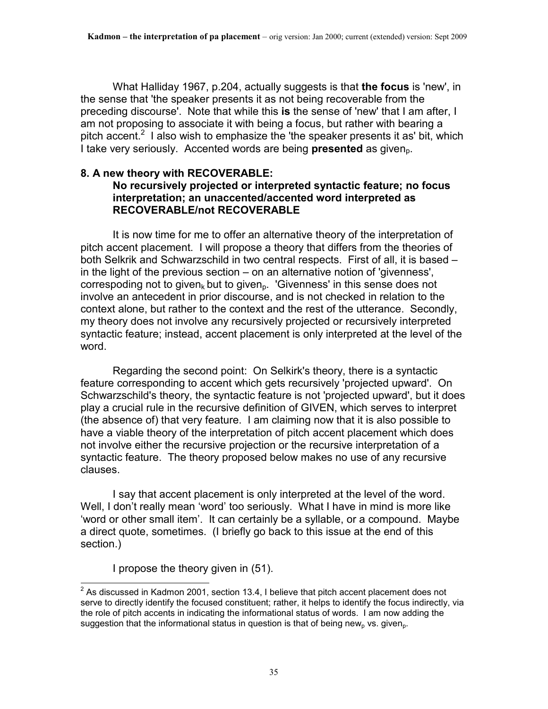What Halliday 1967, p.204, actually suggests is that **the focus** is 'new', in the sense that 'the speaker presents it as not being recoverable from the preceding discourse'. Note that while this **is** the sense of 'new' that I am after, I am not proposing to associate it with being a focus, but rather with bearing a pitch accent.<sup>2</sup> I also wish to emphasize the 'the speaker presents it as' bit, which I take very seriously. Accented words are being **presented** as given<sub>p</sub>.

# **8. A new theory with RECOVERABLE:**

### **No recursively projected or interpreted syntactic feature; no focus interpretation; an unaccented/accented word interpreted as RECOVERABLE/not RECOVERABLE**

 It is now time for me to offer an alternative theory of the interpretation of pitch accent placement. I will propose a theory that differs from the theories of both Selkrik and Schwarzschild in two central respects. First of all, it is based – in the light of the previous section – on an alternative notion of 'givenness', correspoding not to given<sub>k</sub> but to given<sub>p</sub>. 'Givenness' in this sense does not involve an antecedent in prior discourse, and is not checked in relation to the context alone, but rather to the context and the rest of the utterance. Secondly, my theory does not involve any recursively projected or recursively interpreted syntactic feature; instead, accent placement is only interpreted at the level of the word.

 Regarding the second point: On Selkirk's theory, there is a syntactic feature corresponding to accent which gets recursively 'projected upward'. On Schwarzschild's theory, the syntactic feature is not 'projected upward', but it does play a crucial rule in the recursive definition of GIVEN, which serves to interpret (the absence of) that very feature. I am claiming now that it is also possible to have a viable theory of the interpretation of pitch accent placement which does not involve either the recursive projection or the recursive interpretation of a syntactic feature. The theory proposed below makes no use of any recursive clauses.

 I say that accent placement is only interpreted at the level of the word. Well, I don't really mean 'word' too seriously. What I have in mind is more like 'word or other small item'. It can certainly be a syllable, or a compound. Maybe a direct quote, sometimes. (I briefly go back to this issue at the end of this section.)

I propose the theory given in (51).

 $\frac{2}{3}$  As discussed in Kadmon 2001, section 13.4, I believe that pitch accent placement does not serve to directly identify the focused constituent; rather, it helps to identify the focus indirectly, via the role of pitch accents in indicating the informational status of words. I am now adding the suggestion that the informational status in question is that of being new<sub>p</sub> vs. given<sub>p</sub>.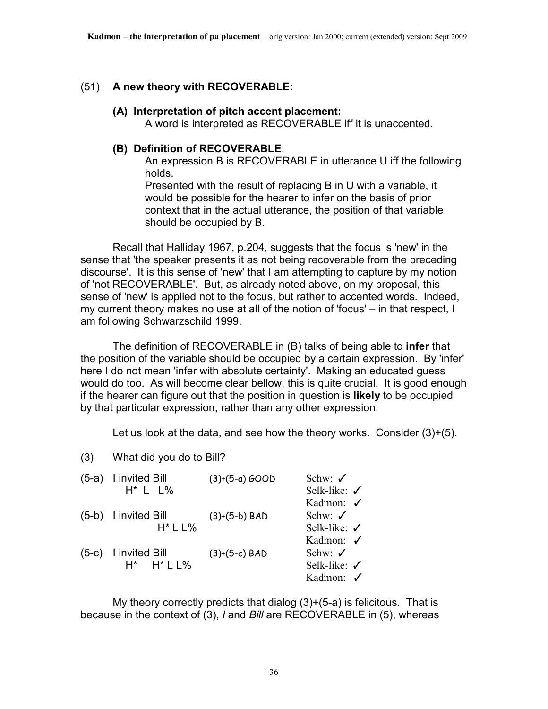#### (51) **A new theory with RECOVERABLE:**

#### **(A) Interpretation of pitch accent placement:**

A word is interpreted as RECOVERABLE iff it is unaccented.

#### **(B) Definition of RECOVERABLE**:

 An expression B is RECOVERABLE in utterance U iff the following holds.

 Presented with the result of replacing B in U with a variable, it would be possible for the hearer to infer on the basis of prior context that in the actual utterance, the position of that variable should be occupied by B.

 Recall that Halliday 1967, p.204, suggests that the focus is 'new' in the sense that 'the speaker presents it as not being recoverable from the preceding discourse'. It is this sense of 'new' that I am attempting to capture by my notion of 'not RECOVERABLE'. But, as already noted above, on my proposal, this sense of 'new' is applied not to the focus, but rather to accented words. Indeed, my current theory makes no use at all of the notion of 'focus' – in that respect, I am following Schwarzschild 1999.

 The definition of RECOVERABLE in (B) talks of being able to **infer** that the position of the variable should be occupied by a certain expression. By 'infer' here I do not mean 'infer with absolute certainty'. Making an educated guess would do too. As will become clear bellow, this is quite crucial. It is good enough if the hearer can figure out that the position in question is **likely** to be occupied by that particular expression, rather than any other expression.

Let us look at the data, and see how the theory works. Consider  $(3)+(5)$ .

(3) What did you do to Bill?

| (5-a) I invited Bill     | $(3)+(5-a)$ GOOD | Schw: $\checkmark$      |
|--------------------------|------------------|-------------------------|
| $H^*$ L $L\%$            |                  | Selk-like: $\checkmark$ |
|                          |                  | Kadmon: √               |
| (5-b) I invited Bill     | $(3)+(5-b)$ BAD  | Schw: $\checkmark$      |
| $H^*$ L L%               |                  | Selk-like: $\checkmark$ |
|                          |                  | Kadmon: √               |
| $(5-c)$ I invited Bill   | $(3)+(5-c)$ BAD  | Schw: $\checkmark$      |
| $H^*$ $H^*$ $L$ $L$ $\%$ |                  | Selk-like: √            |
|                          |                  | Kadmon: $\checkmark$    |
|                          |                  |                         |

My theory correctly predicts that dialog  $(3)+(5-a)$  is felicitous. That is because in the context of (3), *I* and *Bill* are RECOVERABLE in (5), whereas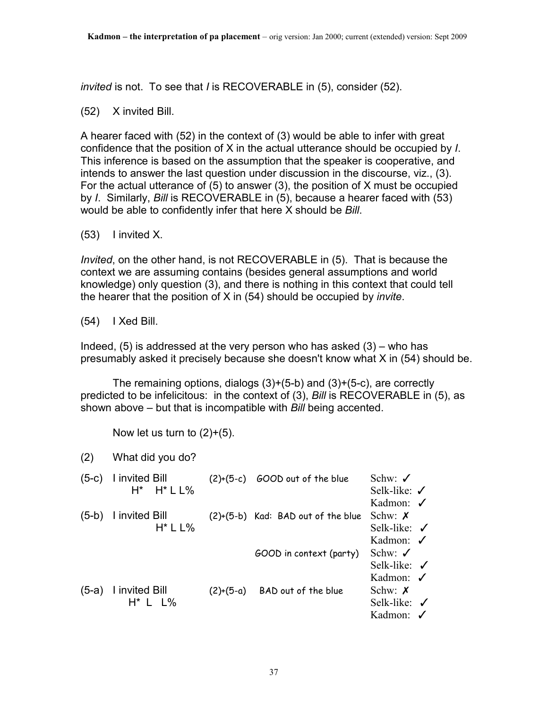*invited* is not. To see that *I* is RECOVERABLE in (5), consider (52).

(52) X invited Bill.

A hearer faced with (52) in the context of (3) would be able to infer with great confidence that the position of X in the actual utterance should be occupied by *I*. This inference is based on the assumption that the speaker is cooperative, and intends to answer the last question under discussion in the discourse, viz., (3). For the actual utterance of (5) to answer (3), the position of X must be occupied by *I*. Similarly, *Bill* is RECOVERABLE in (5), because a hearer faced with (53) would be able to confidently infer that here X should be *Bill*.

(53) I invited X.

*Invited*, on the other hand, is not RECOVERABLE in (5). That is because the context we are assuming contains (besides general assumptions and world knowledge) only question (3), and there is nothing in this context that could tell the hearer that the position of X in (54) should be occupied by *invite*.

(54) I Xed Bill.

Indeed,  $(5)$  is addressed at the very person who has asked  $(3)$  – who has presumably asked it precisely because she doesn't know what X in (54) should be.

The remaining options, dialogs  $(3)+(5-b)$  and  $(3)+(5-c)$ , are correctly predicted to be infelicitous: in the context of (3), *Bill* is RECOVERABLE in (5), as shown above – but that is incompatible with *Bill* being accented.

Now let us turn to  $(2)+(5)$ .

| (2)     | What did you do?                   |             |                                      |                                                                                         |
|---------|------------------------------------|-------------|--------------------------------------|-----------------------------------------------------------------------------------------|
| $(5-c)$ | I invited Bill<br>$H^*$ $H^*$ L L% |             | $(2)+(5-c)$ GOOD out of the blue     | Schw: $\checkmark$                                                                      |
|         |                                    |             |                                      | Selk-like: $\checkmark$<br>Kadmon: $\checkmark$                                         |
| $(5-b)$ | I invited Bill<br>$H^*$ L L%       |             | $(2)+(5-b)$ Kad: BAD out of the blue | Schw: $\chi$<br>Selk-like: $\checkmark$                                                 |
|         |                                    |             | GOOD in context (party)              | Kadmon: $\checkmark$<br>Schw: $\checkmark$<br>Selk-like: $\checkmark$                   |
| $(5-a)$ | I invited Bill<br>$H^*$ L L%       | $(2)+(5-a)$ | BAD out of the blue                  | Kadmon: $\checkmark$<br>Schw: $\chi$<br>Selk-like: $\checkmark$<br>Kadmon: $\checkmark$ |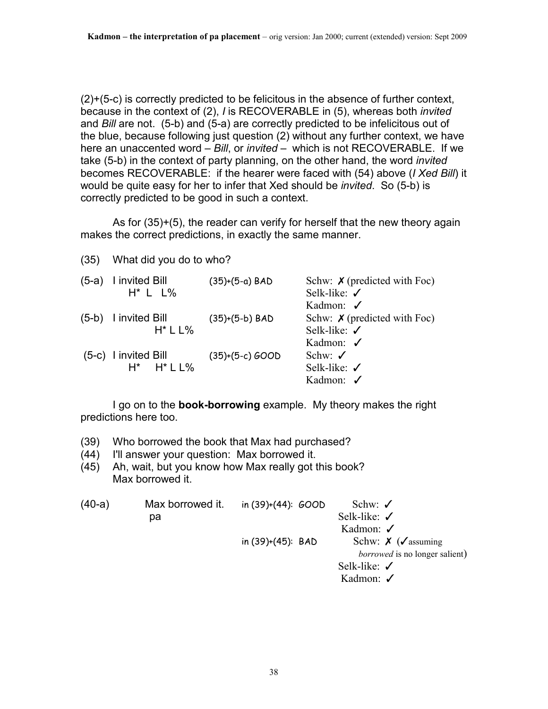(2)+(5-c) is correctly predicted to be felicitous in the absence of further context, because in the context of (2), *I* is RECOVERABLE in (5), whereas both *invited* and *Bill* are not. (5-b) and (5-a) are correctly predicted to be infelicitous out of the blue, because following just question (2) without any further context, we have here an unaccented word – *Bill*, or *invited* – which is not RECOVERABLE. If we take (5-b) in the context of party planning, on the other hand, the word *invited* becomes RECOVERABLE: if the hearer were faced with (54) above (*I Xed Bill*) it would be quite easy for her to infer that Xed should be *invited*. So (5-b) is correctly predicted to be good in such a context.

 As for (35)+(5), the reader can verify for herself that the new theory again makes the correct predictions, in exactly the same manner.

(35) What did you do to who?

| (5-a) I invited Bill<br>$H^*$ L $L\%$ | $(35)+(5-a)$ BAD  | Schw: $\boldsymbol{\chi}$ (predicted with Foc)<br>Selk-like: $\checkmark$ |
|---------------------------------------|-------------------|---------------------------------------------------------------------------|
|                                       |                   | Kadmon: $\checkmark$                                                      |
| (5-b) I invited Bill                  | $(35)+(5-b)$ BAD  | Schw: $\chi$ (predicted with Foc)                                         |
| $H^*$ L L%                            |                   | Selk-like: $\checkmark$                                                   |
|                                       |                   | Kadmon: $\checkmark$                                                      |
| $(5-c)$ I invited Bill                | $(35)+(5-c) GOOD$ | Schw: $\checkmark$                                                        |
| $H^*$ $H^*$ $L$ $L$ %                 |                   | Selk-like: $\checkmark$                                                   |
|                                       |                   | Kadmon: √                                                                 |

 I go on to the **book-borrowing** example. My theory makes the right predictions here too.

- (39) Who borrowed the book that Max had purchased?
- (44) I'll answer your question: Max borrowed it.
- (45) Ah, wait, but you know how Max really got this book? Max borrowed it.

| $(40-a)$ | Max borrowed it. | in $(39)+(44)$ : $GOOD$ | Schw: $\checkmark$                    |
|----------|------------------|-------------------------|---------------------------------------|
|          | рa               |                         | Selk-like: $\checkmark$               |
|          |                  |                         | Kadmon: $\checkmark$                  |
|          |                  | in $(39)+(45)$ : BAD    | Schw: $\chi$ ( $\checkmark$ assuming  |
|          |                  |                         | <i>borrowed</i> is no longer salient) |
|          |                  |                         | Selk-like: $\checkmark$               |
|          |                  |                         | Kadmon: $\checkmark$                  |
|          |                  |                         |                                       |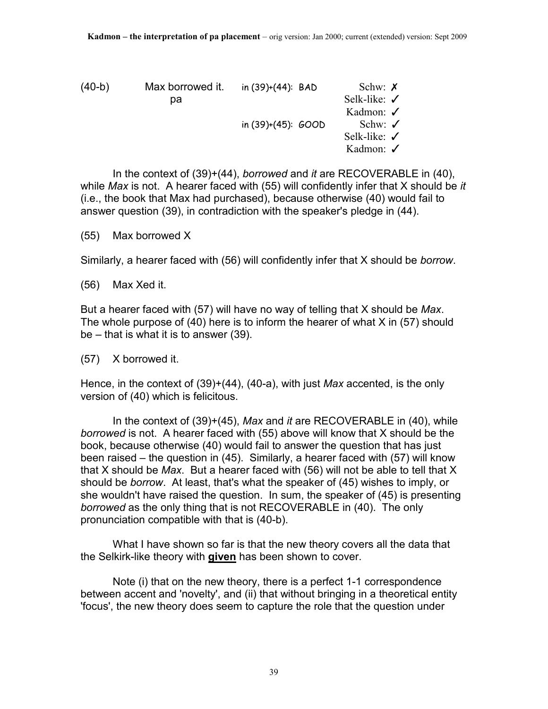| $(40-b)$ | Max borrowed it. | in $(39)+(44)$ : BAD    | Schw: $\chi$            |
|----------|------------------|-------------------------|-------------------------|
|          | pа               |                         | Selk-like: $\checkmark$ |
|          |                  |                         | Kadmon: $\checkmark$    |
|          |                  | in $(39)+(45)$ : $GOOD$ | Schw: $\checkmark$      |
|          |                  |                         | Selk-like: $\checkmark$ |
|          |                  |                         | Kadmon: $\checkmark$    |

 In the context of (39)+(44), *borrowed* and *it* are RECOVERABLE in (40), while *Max* is not. A hearer faced with (55) will confidently infer that X should be *it* (i.e., the book that Max had purchased), because otherwise (40) would fail to answer question (39), in contradiction with the speaker's pledge in (44).

(55) Max borrowed X

Similarly, a hearer faced with (56) will confidently infer that X should be *borrow*.

(56) Max Xed it.

But a hearer faced with (57) will have no way of telling that X should be *Max*. The whole purpose of (40) here is to inform the hearer of what X in (57) should be – that is what it is to answer (39).

(57) X borrowed it.

Hence, in the context of (39)+(44), (40-a), with just *Max* accented, is the only version of (40) which is felicitous.

 In the context of (39)+(45), *Max* and *it* are RECOVERABLE in (40), while *borrowed* is not. A hearer faced with (55) above will know that X should be the book, because otherwise (40) would fail to answer the question that has just been raised – the question in (45). Similarly, a hearer faced with (57) will know that X should be *Max*. But a hearer faced with (56) will not be able to tell that X should be *borrow*. At least, that's what the speaker of (45) wishes to imply, or she wouldn't have raised the question. In sum, the speaker of (45) is presenting *borrowed* as the only thing that is not RECOVERABLE in (40). The only pronunciation compatible with that is (40-b).

 What I have shown so far is that the new theory covers all the data that the Selkirk-like theory with **given** has been shown to cover.

 Note (i) that on the new theory, there is a perfect 1-1 correspondence between accent and 'novelty', and (ii) that without bringing in a theoretical entity 'focus', the new theory does seem to capture the role that the question under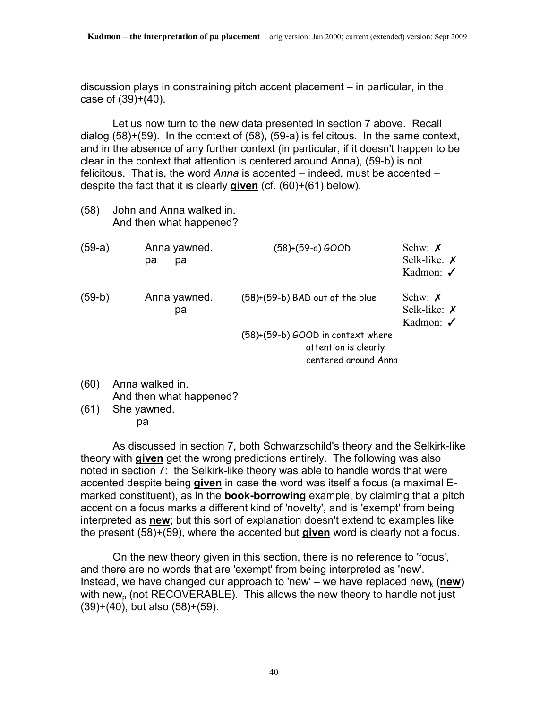discussion plays in constraining pitch accent placement – in particular, in the case of  $(39)+(40)$ .

 Let us now turn to the new data presented in section 7 above. Recall dialog (58)+(59). In the context of (58), (59-a) is felicitous. In the same context, and in the absence of any further context (in particular, if it doesn't happen to be clear in the context that attention is centered around Anna), (59-b) is not felicitous. That is, the word *Anna* is accented – indeed, must be accented – despite the fact that it is clearly **given** (cf. (60)+(61) below).

(58) John and Anna walked in. And then what happened?

| $(59-a)$ | Anna yawned.<br>рa<br>рa | $(58)+(59-a) GOOD$                                                                | Schw: $\chi$<br>Selk-like: $\chi$<br>Kadmon: $\checkmark$ |
|----------|--------------------------|-----------------------------------------------------------------------------------|-----------------------------------------------------------|
| $(59-b)$ | Anna yawned.<br>pа       | $(58)+(59-b)$ BAD out of the blue                                                 | Schw: $\chi$<br>Selk-like: $\chi$<br>Kadmon: $\checkmark$ |
|          |                          | (58)+(59-b) GOOD in context where<br>attention is clearly<br>centered around Anna |                                                           |
| (20)     | Anno wollzod in          |                                                                                   |                                                           |

- (60) Anna walked in. And then what happened?
- (61) She yawned. pa

 As discussed in section 7, both Schwarzschild's theory and the Selkirk-like theory with **given** get the wrong predictions entirely. The following was also noted in section 7: the Selkirk-like theory was able to handle words that were accented despite being **given** in case the word was itself a focus (a maximal Emarked constituent), as in the **book-borrowing** example, by claiming that a pitch accent on a focus marks a different kind of 'novelty', and is 'exempt' from being interpreted as **new**; but this sort of explanation doesn't extend to examples like the present (58)+(59), where the accented but **given** word is clearly not a focus.

 On the new theory given in this section, there is no reference to 'focus', and there are no words that are 'exempt' from being interpreted as 'new'. Instead, we have changed our approach to 'new' – we have replaced new<sub>k</sub> (new) with new<sub>p</sub> (not RECOVERABLE). This allows the new theory to handle not just (39)+(40), but also (58)+(59).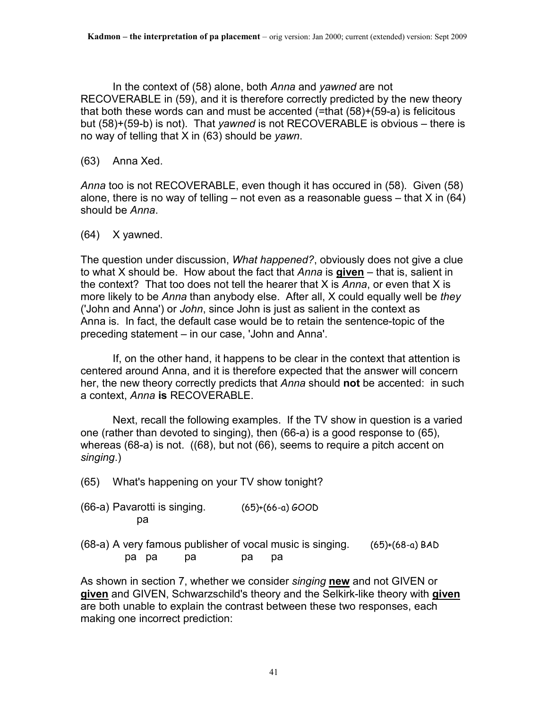In the context of (58) alone, both *Anna* and *yawned* are not RECOVERABLE in (59), and it is therefore correctly predicted by the new theory that both these words can and must be accented (=that (58)+(59-a) is felicitous but (58)+(59-b) is not). That *yawned* is not RECOVERABLE is obvious – there is no way of telling that X in (63) should be *yawn*.

(63) Anna Xed.

*Anna* too is not RECOVERABLE, even though it has occured in (58). Given (58) alone, there is no way of telling – not even as a reasonable guess – that  $X$  in (64) should be *Anna*.

(64) X yawned.

The question under discussion, *What happened?*, obviously does not give a clue to what X should be. How about the fact that *Anna* is **given** – that is, salient in the context? That too does not tell the hearer that X is *Anna*, or even that X is more likely to be *Anna* than anybody else. After all, X could equally well be *they* ('John and Anna') or *John*, since John is just as salient in the context as Anna is. In fact, the default case would be to retain the sentence-topic of the preceding statement – in our case, 'John and Anna'.

 If, on the other hand, it happens to be clear in the context that attention is centered around Anna, and it is therefore expected that the answer will concern her, the new theory correctly predicts that *Anna* should **not** be accented: in such a context, *Anna* **is** RECOVERABLE.

 Next, recall the following examples. If the TV show in question is a varied one (rather than devoted to singing), then (66-a) is a good response to (65), whereas (68-a) is not. ((68), but not (66), seems to require a pitch accent on *singing*.)

- (65) What's happening on your TV show tonight?
- $(66-a)$  Pavarotti is singing.  $(65)+(66-a)$  GOOD pa
- (68-a) A very famous publisher of vocal music is singing. (65)+(68-a) BAD pa pa pa pa pa

As shown in section 7, whether we consider *singing* **new** and not GIVEN or **given** and GIVEN, Schwarzschild's theory and the Selkirk-like theory with **given** are both unable to explain the contrast between these two responses, each making one incorrect prediction: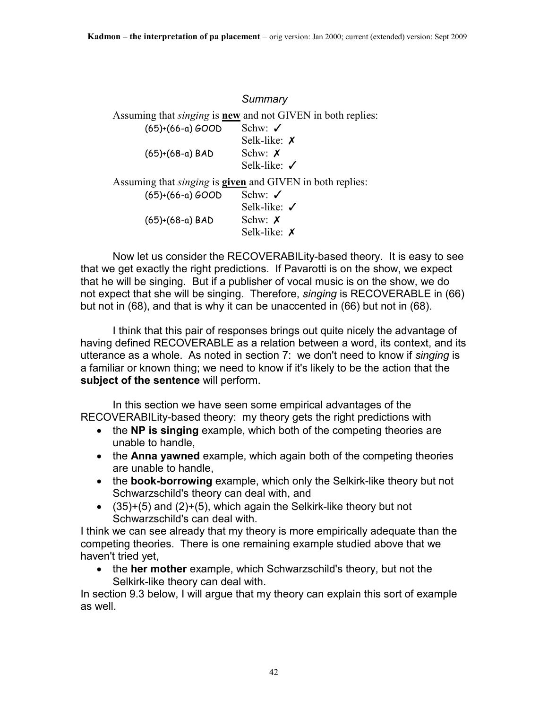|                    | Summary                                                                   |
|--------------------|---------------------------------------------------------------------------|
|                    | Assuming that <i>singing</i> is <b>new</b> and not GIVEN in both replies: |
| $(65)+(66-a) GOOD$ | Schw: $\checkmark$                                                        |
|                    | Selk-like: $\chi$                                                         |
| $(65)+(68-a)$ BAD  | Schw: $\chi$                                                              |
|                    | Selk-like: $\checkmark$                                                   |
|                    | Assuming that <i>singing</i> is <b>given</b> and GIVEN in both replies:   |
| $(65)+(66-a) GOOD$ | Schw: $\checkmark$                                                        |
|                    | Selk-like: $\checkmark$                                                   |
| $(65)+(68-a)$ BAD  | Schw: $\chi$                                                              |
|                    | Selk-like: $\chi$                                                         |

Now let us consider the RECOVERABILity-based theory. It is easy to see that we get exactly the right predictions. If Pavarotti is on the show, we expect that he will be singing. But if a publisher of vocal music is on the show, we do not expect that she will be singing. Therefore, *singing* is RECOVERABLE in (66) but not in (68), and that is why it can be unaccented in (66) but not in (68).

 I think that this pair of responses brings out quite nicely the advantage of having defined RECOVERABLE as a relation between a word, its context, and its utterance as a whole. As noted in section 7: we don't need to know if *singing* is a familiar or known thing; we need to know if it's likely to be the action that the **subject of the sentence** will perform.

 In this section we have seen some empirical advantages of the RECOVERABILity-based theory: my theory gets the right predictions with

- the **NP is singing** example, which both of the competing theories are unable to handle,
- the **Anna yawned** example, which again both of the competing theories are unable to handle,
- the **book-borrowing** example, which only the Selkirk-like theory but not Schwarzschild's theory can deal with, and
- $\bullet$  (35)+(5) and (2)+(5), which again the Selkirk-like theory but not Schwarzschild's can deal with.

I think we can see already that my theory is more empirically adequate than the competing theories. There is one remaining example studied above that we haven't tried yet,

• the **her mother** example, which Schwarzschild's theory, but not the Selkirk-like theory can deal with.

In section 9.3 below, I will argue that my theory can explain this sort of example as well.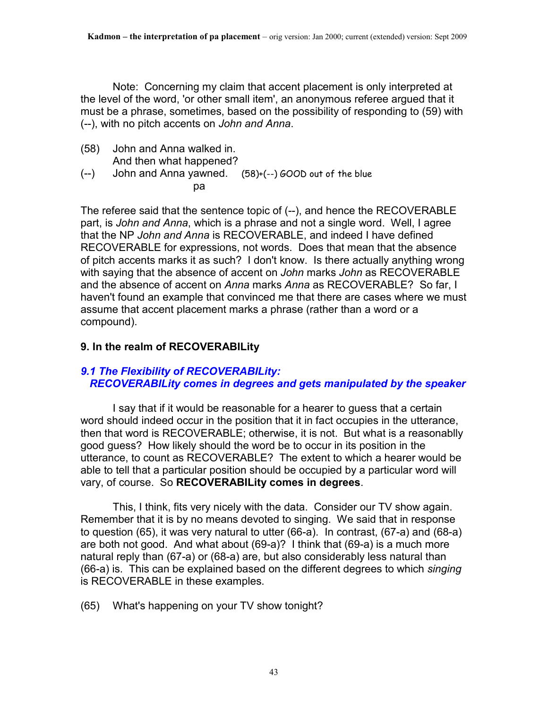Note: Concerning my claim that accent placement is only interpreted at the level of the word, 'or other small item', an anonymous referee argued that it must be a phrase, sometimes, based on the possibility of responding to (59) with (--), with no pitch accents on *John and Anna*.

- (58) John and Anna walked in. And then what happened?
- (--) John and Anna yawned. (58)+(--) GOOD out of the blue pa

The referee said that the sentence topic of (--), and hence the RECOVERABLE part, is *John and Anna*, which is a phrase and not a single word. Well, I agree that the NP *John and Anna* is RECOVERABLE, and indeed I have defined RECOVERABLE for expressions, not words. Does that mean that the absence of pitch accents marks it as such? I don't know. Is there actually anything wrong with saying that the absence of accent on *John* marks *John* as RECOVERABLE and the absence of accent on *Anna* marks *Anna* as RECOVERABLE? So far, I haven't found an example that convinced me that there are cases where we must assume that accent placement marks a phrase (rather than a word or a compound).

# **9. In the realm of RECOVERABILity**

# *9.1 The Flexibility of RECOVERABILity: RECOVERABILity comes in degrees and gets manipulated by the speaker*

 I say that if it would be reasonable for a hearer to guess that a certain word should indeed occur in the position that it in fact occupies in the utterance, then that word is RECOVERABLE; otherwise, it is not. But what is a reasonablly good guess? How likely should the word be to occur in its position in the utterance, to count as RECOVERABLE? The extent to which a hearer would be able to tell that a particular position should be occupied by a particular word will vary, of course. So **RECOVERABILity comes in degrees**.

 This, I think, fits very nicely with the data. Consider our TV show again. Remember that it is by no means devoted to singing. We said that in response to question (65), it was very natural to utter (66-a). In contrast, (67-a) and (68-a) are both not good. And what about (69-a)? I think that (69-a) is a much more natural reply than (67-a) or (68-a) are, but also considerably less natural than (66-a) is. This can be explained based on the different degrees to which *singing* is RECOVERABLE in these examples.

(65) What's happening on your TV show tonight?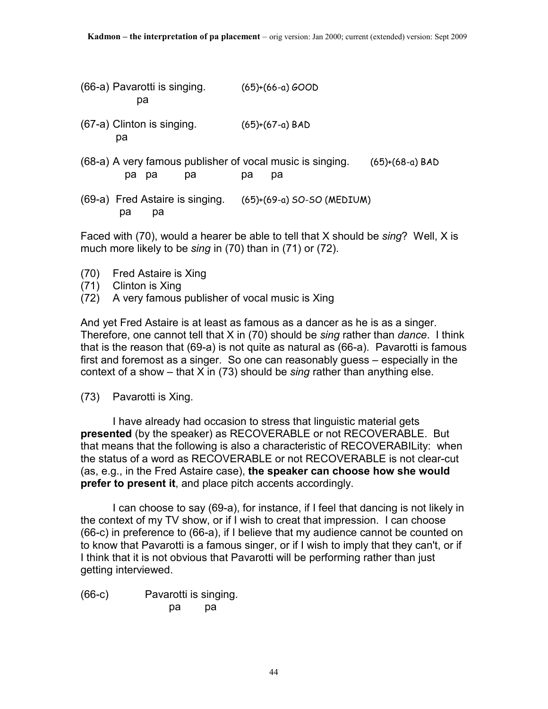(66-a) Pavarotti is singing. (65)+(66-a) GOOD pa (67-a) Clinton is singing. (65)+(67-a) BAD pa (68-a) A very famous publisher of vocal music is singing. (65)+(68-a) BAD pa pa pa pa pa

(69-a) Fred Astaire is singing. (65)+(69-a) SO-SO (MEDIUM) pa pa

Faced with (70), would a hearer be able to tell that X should be *sing*? Well, X is much more likely to be *sing* in (70) than in (71) or (72).

(70) Fred Astaire is Xing

(71) Clinton is Xing

(72) A very famous publisher of vocal music is Xing

And yet Fred Astaire is at least as famous as a dancer as he is as a singer. Therefore, one cannot tell that X in (70) should be *sing* rather than *dance*. I think that is the reason that (69-a) is not quite as natural as (66-a). Pavarotti is famous first and foremost as a singer. So one can reasonably guess – especially in the context of a show – that X in (73) should be *sing* rather than anything else.

(73) Pavarotti is Xing.

 I have already had occasion to stress that linguistic material gets **presented** (by the speaker) as RECOVERABLE or not RECOVERABLE. But that means that the following is also a characteristic of RECOVERABILity: when the status of a word as RECOVERABLE or not RECOVERABLE is not clear-cut (as, e.g., in the Fred Astaire case), **the speaker can choose how she would prefer to present it**, and place pitch accents accordingly.

 I can choose to say (69-a), for instance, if I feel that dancing is not likely in the context of my TV show, or if I wish to creat that impression. I can choose (66-c) in preference to (66-a), if I believe that my audience cannot be counted on to know that Pavarotti is a famous singer, or if I wish to imply that they can't, or if I think that it is not obvious that Pavarotti will be performing rather than just getting interviewed.

(66-c) Pavarotti is singing. pa pa pa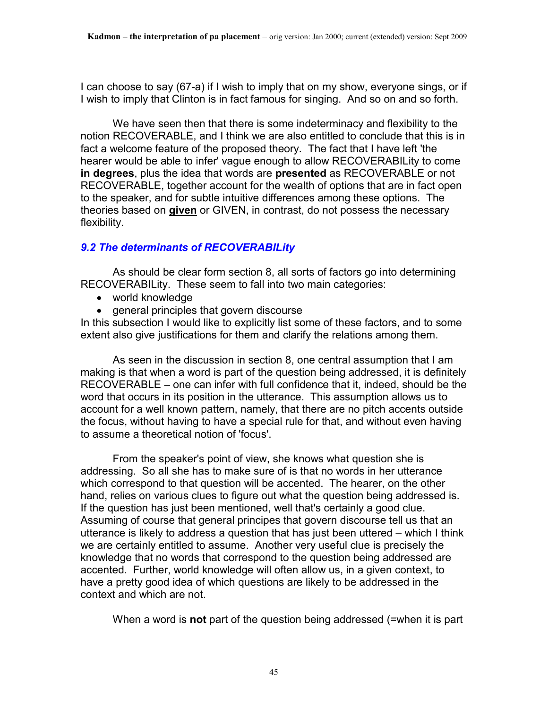I can choose to say (67-a) if I wish to imply that on my show, everyone sings, or if I wish to imply that Clinton is in fact famous for singing. And so on and so forth.

 We have seen then that there is some indeterminacy and flexibility to the notion RECOVERABLE, and I think we are also entitled to conclude that this is in fact a welcome feature of the proposed theory. The fact that I have left 'the hearer would be able to infer' vague enough to allow RECOVERABILity to come **in degrees**, plus the idea that words are **presented** as RECOVERABLE or not RECOVERABLE, together account for the wealth of options that are in fact open to the speaker, and for subtle intuitive differences among these options. The theories based on **given** or GIVEN, in contrast, do not possess the necessary flexibility.

# *9.2 The determinants of RECOVERABILity*

 As should be clear form section 8, all sorts of factors go into determining RECOVERABILity. These seem to fall into two main categories:

- world knowledge
- general principles that govern discourse

In this subsection I would like to explicitly list some of these factors, and to some extent also give justifications for them and clarify the relations among them.

 As seen in the discussion in section 8, one central assumption that I am making is that when a word is part of the question being addressed, it is definitely RECOVERABLE – one can infer with full confidence that it, indeed, should be the word that occurs in its position in the utterance. This assumption allows us to account for a well known pattern, namely, that there are no pitch accents outside the focus, without having to have a special rule for that, and without even having to assume a theoretical notion of 'focus'.

 From the speaker's point of view, she knows what question she is addressing. So all she has to make sure of is that no words in her utterance which correspond to that question will be accented. The hearer, on the other hand, relies on various clues to figure out what the question being addressed is. If the question has just been mentioned, well that's certainly a good clue. Assuming of course that general principes that govern discourse tell us that an utterance is likely to address a question that has just been uttered – which I think we are certainly entitled to assume. Another very useful clue is precisely the knowledge that no words that correspond to the question being addressed are accented. Further, world knowledge will often allow us, in a given context, to have a pretty good idea of which questions are likely to be addressed in the context and which are not.

When a word is **not** part of the question being addressed (=when it is part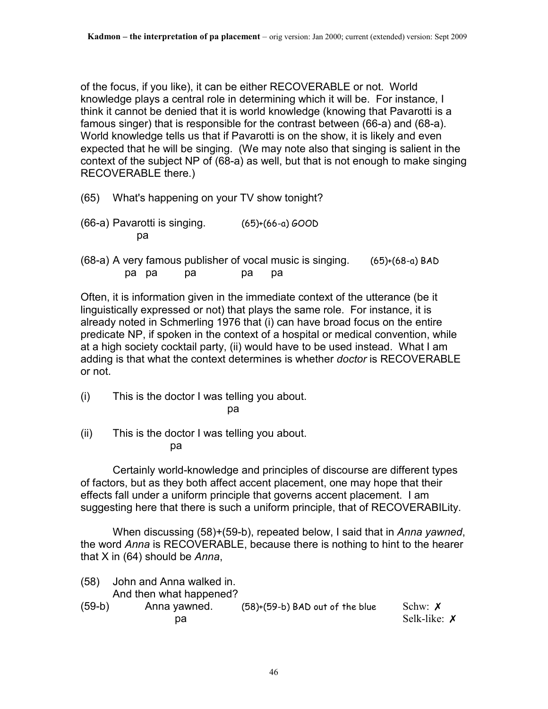of the focus, if you like), it can be either RECOVERABLE or not. World knowledge plays a central role in determining which it will be. For instance, I think it cannot be denied that it is world knowledge (knowing that Pavarotti is a famous singer) that is responsible for the contrast between (66-a) and (68-a). World knowledge tells us that if Pavarotti is on the show, it is likely and even expected that he will be singing. (We may note also that singing is salient in the context of the subject NP of (68-a) as well, but that is not enough to make singing RECOVERABLE there.)

- (65) What's happening on your TV show tonight?
- $(66-a)$  Pavarotti is singing.  $(65)+(66-a)$  GOOD pa
- (68-a) A very famous publisher of vocal music is singing. (65)+(68-a) BAD pa pa pa pa pa

Often, it is information given in the immediate context of the utterance (be it linguistically expressed or not) that plays the same role. For instance, it is already noted in Schmerling 1976 that (i) can have broad focus on the entire predicate NP, if spoken in the context of a hospital or medical convention, while at a high society cocktail party, (ii) would have to be used instead. What I am adding is that what the context determines is whether *doctor* is RECOVERABLE or not.

- (i) This is the doctor I was telling you about. <u>particle in the second particle</u> particle in the second particle in the second particle in the second particle in
	-
- (ii) This is the doctor I was telling you about. pa

 Certainly world-knowledge and principles of discourse are different types of factors, but as they both affect accent placement, one may hope that their effects fall under a uniform principle that governs accent placement. I am suggesting here that there is such a uniform principle, that of RECOVERABILity.

 When discussing (58)+(59-b), repeated below, I said that in *Anna yawned*, the word *Anna* is RECOVERABLE, because there is nothing to hint to the hearer that X in (64) should be *Anna*,

(58) John and Anna walked in. And then what happened? (59-b) Anna yawned. (58)+(59-b) BAD out of the blue Schw: ✗ pa Selk-like:  $\chi$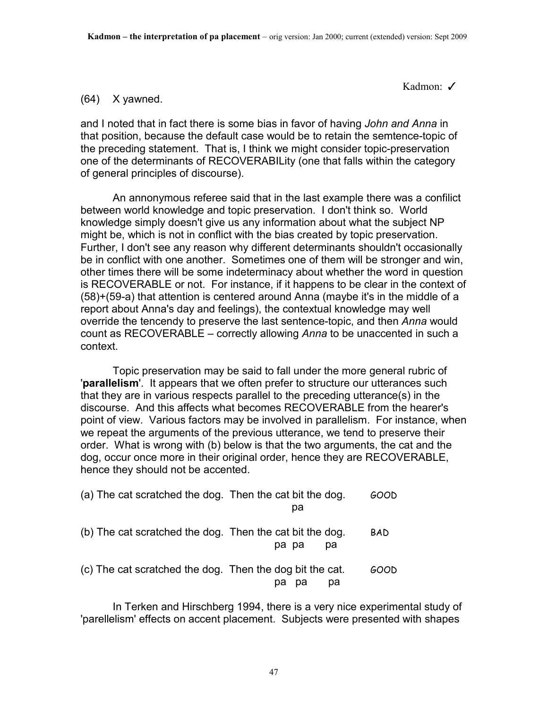Kadmon: ✓

#### (64) X yawned.

and I noted that in fact there is some bias in favor of having *John and Anna* in that position, because the default case would be to retain the semtence-topic of the preceding statement. That is, I think we might consider topic-preservation one of the determinants of RECOVERABILity (one that falls within the category of general principles of discourse).

 An annonymous referee said that in the last example there was a confilict between world knowledge and topic preservation. I don't think so. World knowledge simply doesn't give us any information about what the subject NP might be, which is not in conflict with the bias created by topic preservation. Further, I don't see any reason why different determinants shouldn't occasionally be in conflict with one another. Sometimes one of them will be stronger and win, other times there will be some indeterminacy about whether the word in question is RECOVERABLE or not. For instance, if it happens to be clear in the context of (58)+(59-a) that attention is centered around Anna (maybe it's in the middle of a report about Anna's day and feelings), the contextual knowledge may well override the tencendy to preserve the last sentence-topic, and then *Anna* would count as RECOVERABLE – correctly allowing *Anna* to be unaccented in such a context.

 Topic preservation may be said to fall under the more general rubric of '**parallelism**'. It appears that we often prefer to structure our utterances such that they are in various respects parallel to the preceding utterance(s) in the discourse. And this affects what becomes RECOVERABLE from the hearer's point of view. Various factors may be involved in parallelism. For instance, when we repeat the arguments of the previous utterance, we tend to preserve their order. What is wrong with (b) below is that the two arguments, the cat and the dog, occur once more in their original order, hence they are RECOVERABLE, hence they should not be accented.

| (a) The cat scratched the dog. Then the cat bit the dog. | pa          | GOOD       |
|----------------------------------------------------------|-------------|------------|
| (b) The cat scratched the dog. Then the cat bit the dog. | pa pa<br>pа | <b>BAD</b> |
| (c) The cat scratched the dog. Then the dog bit the cat. | pa<br>pa    | GOOD       |

 In Terken and Hirschberg 1994, there is a very nice experimental study of 'parellelism' effects on accent placement. Subjects were presented with shapes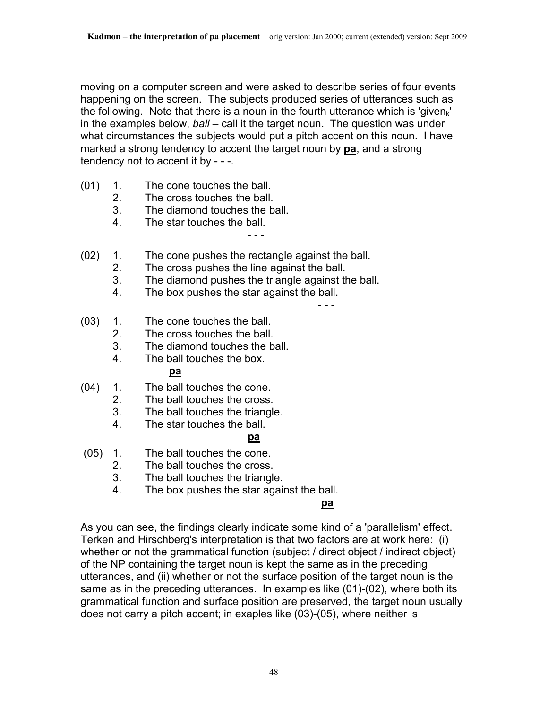moving on a computer screen and were asked to describe series of four events happening on the screen. The subjects produced series of utterances such as the following. Note that there is a noun in the fourth utterance which is 'given<sub>k</sub>' – in the examples below, *ball* – call it the target noun. The question was under what circumstances the subjects would put a pitch accent on this noun. I have marked a strong tendency to accent the target noun by **pa**, and a strong tendency not to accent it by - - -.

(01) 1. The cone touches the ball.

- - -

- 2. The cross touches the ball.
- 3. The diamond touches the ball.
- 4. The star touches the ball.
- (02) 1. The cone pushes the rectangle against the ball.
	- 2. The cross pushes the line against the ball.
	- 3. The diamond pushes the triangle against the ball.
	- 4. The box pushes the star against the ball.

- - -

- (03) 1. The cone touches the ball.
	- 2. The cross touches the ball.
	- 3. The diamond touches the ball.
- 4. The ball touches the box. **pa** participate the participate of  $\mathbf{p}$
- (04) 1. The ball touches the cone.
	- 2. The ball touches the cross.
	- 3. The ball touches the triangle.
	- 4. The star touches the ball.

# **participate in the contract of the participate of the contract of the contract of the contract of the contract of the contract of the contract of the contract of the contract of the contract of the contract of the contrac**

- (05) 1. The ball touches the cone.
	- 2. The ball touches the cross.
	- 3. The ball touches the triangle.
	- 4. The box pushes the star against the ball.

# **participates of the contract of the participates of the contract of the contract of the contract of the contract of the contract of the contract of the contract of the contract of the contract of the contract of the contr**

As you can see, the findings clearly indicate some kind of a 'parallelism' effect. Terken and Hirschberg's interpretation is that two factors are at work here: (i) whether or not the grammatical function (subject / direct object / indirect object) of the NP containing the target noun is kept the same as in the preceding utterances, and (ii) whether or not the surface position of the target noun is the same as in the preceding utterances. In examples like (01)-(02), where both its grammatical function and surface position are preserved, the target noun usually does not carry a pitch accent; in exaples like (03)-(05), where neither is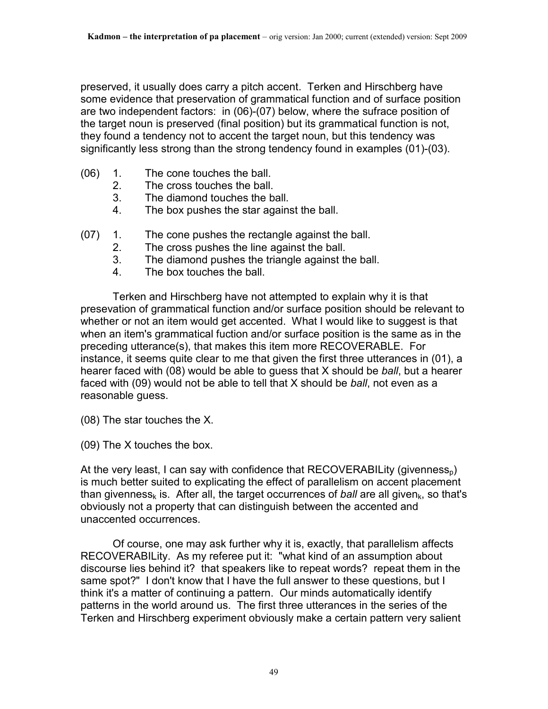preserved, it usually does carry a pitch accent. Terken and Hirschberg have some evidence that preservation of grammatical function and of surface position are two independent factors: in (06)-(07) below, where the sufrace position of the target noun is preserved (final position) but its grammatical function is not, they found a tendency not to accent the target noun, but this tendency was significantly less strong than the strong tendency found in examples (01)-(03).

- (06) 1. The cone touches the ball.
	- 2. The cross touches the ball.
	- 3. The diamond touches the ball.
	- 4. The box pushes the star against the ball.
- (07) 1. The cone pushes the rectangle against the ball.
	- 2. The cross pushes the line against the ball.
	- 3. The diamond pushes the triangle against the ball.
	- 4. The box touches the ball.

 Terken and Hirschberg have not attempted to explain why it is that presevation of grammatical function and/or surface position should be relevant to whether or not an item would get accented. What I would like to suggest is that when an item's grammatical fuction and/or surface position is the same as in the preceding utterance(s), that makes this item more RECOVERABLE. For instance, it seems quite clear to me that given the first three utterances in (01), a hearer faced with (08) would be able to guess that X should be *ball*, but a hearer faced with (09) would not be able to tell that X should be *ball*, not even as a reasonable guess.

(08) The star touches the X.

(09) The X touches the box.

At the very least, I can say with confidence that  $RECOVERABILITY (givenness<sub>n</sub>)$ is much better suited to explicating the effect of parallelism on accent placement than givenness<sub>k</sub> is. After all, the target occurrences of *ball* are all given<sub>k</sub>, so that's obviously not a property that can distinguish between the accented and unaccented occurrences.

 Of course, one may ask further why it is, exactly, that parallelism affects RECOVERABILity. As my referee put it: "what kind of an assumption about discourse lies behind it? that speakers like to repeat words? repeat them in the same spot?" I don't know that I have the full answer to these questions, but I think it's a matter of continuing a pattern. Our minds automatically identify patterns in the world around us. The first three utterances in the series of the Terken and Hirschberg experiment obviously make a certain pattern very salient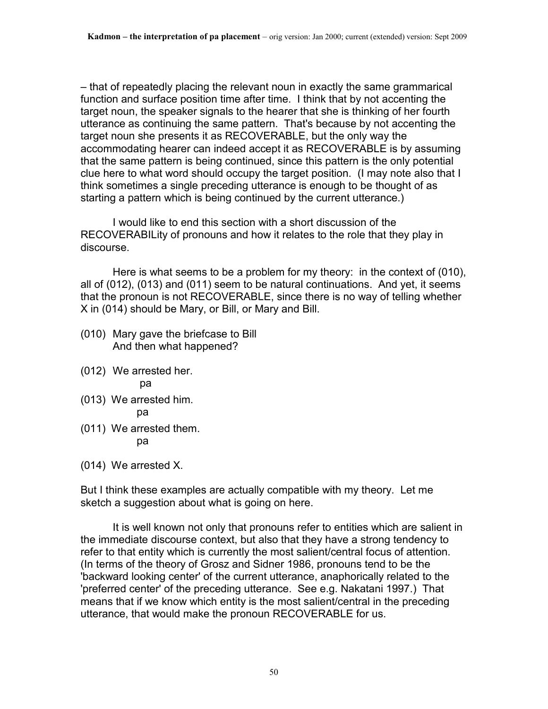– that of repeatedly placing the relevant noun in exactly the same grammarical function and surface position time after time. I think that by not accenting the target noun, the speaker signals to the hearer that she is thinking of her fourth utterance as continuing the same pattern. That's because by not accenting the target noun she presents it as RECOVERABLE, but the only way the accommodating hearer can indeed accept it as RECOVERABLE is by assuming that the same pattern is being continued, since this pattern is the only potential clue here to what word should occupy the target position. (I may note also that I think sometimes a single preceding utterance is enough to be thought of as starting a pattern which is being continued by the current utterance.)

 I would like to end this section with a short discussion of the RECOVERABILity of pronouns and how it relates to the role that they play in discourse.

 Here is what seems to be a problem for my theory: in the context of (010), all of (012), (013) and (011) seem to be natural continuations. And yet, it seems that the pronoun is not RECOVERABLE, since there is no way of telling whether X in (014) should be Mary, or Bill, or Mary and Bill.

- (010) Mary gave the briefcase to Bill And then what happened?
- (012) We arrested her. pa
- (013) We arrested him. pa
- (011) We arrested them. pa

(014) We arrested X.

But I think these examples are actually compatible with my theory. Let me sketch a suggestion about what is going on here.

 It is well known not only that pronouns refer to entities which are salient in the immediate discourse context, but also that they have a strong tendency to refer to that entity which is currently the most salient/central focus of attention. (In terms of the theory of Grosz and Sidner 1986, pronouns tend to be the 'backward looking center' of the current utterance, anaphorically related to the 'preferred center' of the preceding utterance. See e.g. Nakatani 1997.) That means that if we know which entity is the most salient/central in the preceding utterance, that would make the pronoun RECOVERABLE for us.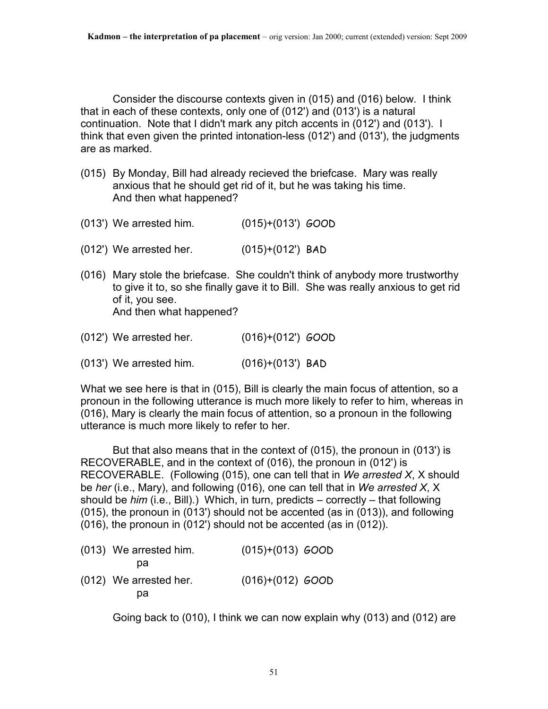Consider the discourse contexts given in (015) and (016) below. I think that in each of these contexts, only one of (012') and (013') is a natural continuation. Note that I didn't mark any pitch accents in (012') and (013'). I think that even given the printed intonation-less (012') and (013'), the judgments are as marked.

- (015) By Monday, Bill had already recieved the briefcase. Mary was really anxious that he should get rid of it, but he was taking his time. And then what happened?
- (013') We arrested him. (015)+(013') GOOD
- (012') We arrested her. (015)+(012') BAD
- (016) Mary stole the briefcase. She couldn't think of anybody more trustworthy to give it to, so she finally gave it to Bill. She was really anxious to get rid of it, you see. And then what happened?
- (012') We arrested her. (016)+(012') GOOD
- (013') We arrested him. (016)+(013') BAD

What we see here is that in (015), Bill is clearly the main focus of attention, so a pronoun in the following utterance is much more likely to refer to him, whereas in (016), Mary is clearly the main focus of attention, so a pronoun in the following utterance is much more likely to refer to her.

 But that also means that in the context of (015), the pronoun in (013') is RECOVERABLE, and in the context of (016), the pronoun in (012') is RECOVERABLE. (Following (015), one can tell that in *We arrested X*, X should be *her* (i.e., Mary), and following (016), one can tell that in *We arrested X*, X should be *him* (i.e., Bill).) Which, in turn, predicts – correctly – that following (015), the pronoun in (013') should not be accented (as in (013)), and following (016), the pronoun in (012') should not be accented (as in (012)).

(013) We arrested him. (015)+(013) GOOD pa (012) We arrested her. (016)+(012) GOOD pa

Going back to (010), I think we can now explain why (013) and (012) are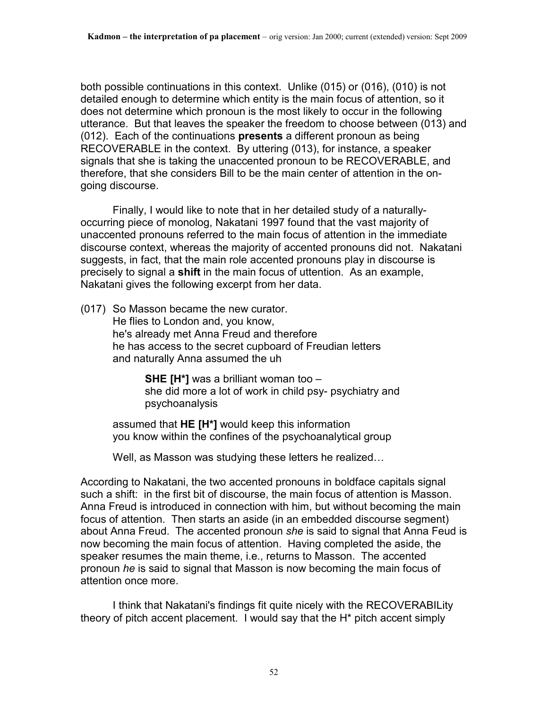both possible continuations in this context. Unlike (015) or (016), (010) is not detailed enough to determine which entity is the main focus of attention, so it does not determine which pronoun is the most likely to occur in the following utterance. But that leaves the speaker the freedom to choose between (013) and (012). Each of the continuations **presents** a different pronoun as being RECOVERABLE in the context. By uttering (013), for instance, a speaker signals that she is taking the unaccented pronoun to be RECOVERABLE, and therefore, that she considers Bill to be the main center of attention in the ongoing discourse.

 Finally, I would like to note that in her detailed study of a naturallyoccurring piece of monolog, Nakatani 1997 found that the vast majority of unaccented pronouns referred to the main focus of attention in the immediate discourse context, whereas the majority of accented pronouns did not. Nakatani suggests, in fact, that the main role accented pronouns play in discourse is precisely to signal a **shift** in the main focus of uttention. As an example, Nakatani gives the following excerpt from her data.

(017) So Masson became the new curator. He flies to London and, you know, he's already met Anna Freud and therefore he has access to the secret cupboard of Freudian letters and naturally Anna assumed the uh

> **SHE [H\*]** was a brilliant woman too – she did more a lot of work in child psy- psychiatry and psychoanalysis

assumed that **HE [H\*]** would keep this information you know within the confines of the psychoanalytical group

Well, as Masson was studying these letters he realized…

According to Nakatani, the two accented pronouns in boldface capitals signal such a shift: in the first bit of discourse, the main focus of attention is Masson. Anna Freud is introduced in connection with him, but without becoming the main focus of attention. Then starts an aside (in an embedded discourse segment) about Anna Freud. The accented pronoun *she* is said to signal that Anna Feud is now becoming the main focus of attention. Having completed the aside, the speaker resumes the main theme, i.e., returns to Masson. The accented pronoun *he* is said to signal that Masson is now becoming the main focus of attention once more.

 I think that Nakatani's findings fit quite nicely with the RECOVERABILity theory of pitch accent placement. I would say that the H\* pitch accent simply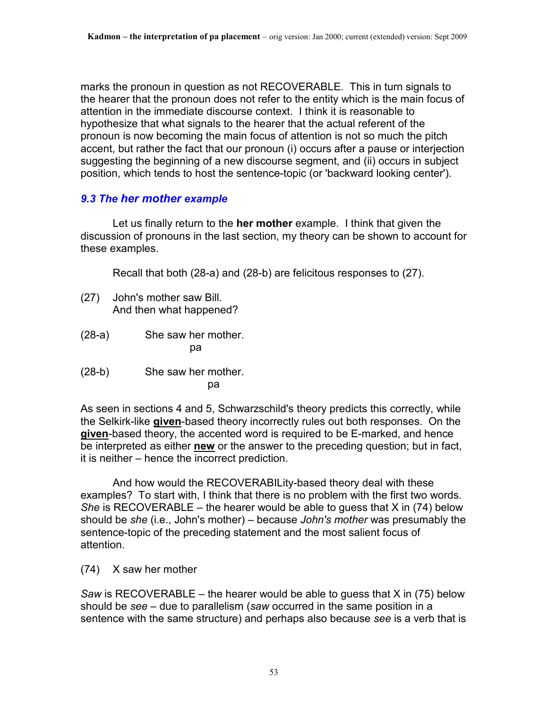marks the pronoun in question as not RECOVERABLE. This in turn signals to the hearer that the pronoun does not refer to the entity which is the main focus of attention in the immediate discourse context. I think it is reasonable to hypothesize that what signals to the hearer that the actual referent of the pronoun is now becoming the main focus of attention is not so much the pitch accent, but rather the fact that our pronoun (i) occurs after a pause or interjection suggesting the beginning of a new discourse segment, and (ii) occurs in subject position, which tends to host the sentence-topic (or 'backward looking center').

# *9.3 The her mother example*

 Let us finally return to the **her mother** example. I think that given the discussion of pronouns in the last section, my theory can be shown to account for these examples.

Recall that both (28-a) and (28-b) are felicitous responses to (27).

- (27) John's mother saw Bill. And then what happened?
- (28-a) She saw her mother. pa
- (28-b) She saw her mother. participate the control of the participate of the control of the control of the control of the control of the c

As seen in sections 4 and 5, Schwarzschild's theory predicts this correctly, while the Selkirk-like **given**-based theory incorrectly rules out both responses. On the **given**-based theory, the accented word is required to be E-marked, and hence be interpreted as either **new** or the answer to the preceding question; but in fact, it is neither – hence the incorrect prediction.

 And how would the RECOVERABILity-based theory deal with these examples? To start with, I think that there is no problem with the first two words. *She* is RECOVERABLE – the hearer would be able to guess that X in (74) below should be *she* (i.e., John's mother) – because *John's mother* was presumably the sentence-topic of the preceding statement and the most salient focus of attention.

(74) X saw her mother

*Saw* is RECOVERABLE – the hearer would be able to guess that X in (75) below should be *see* – due to parallelism (*saw* occurred in the same position in a sentence with the same structure) and perhaps also because *see* is a verb that is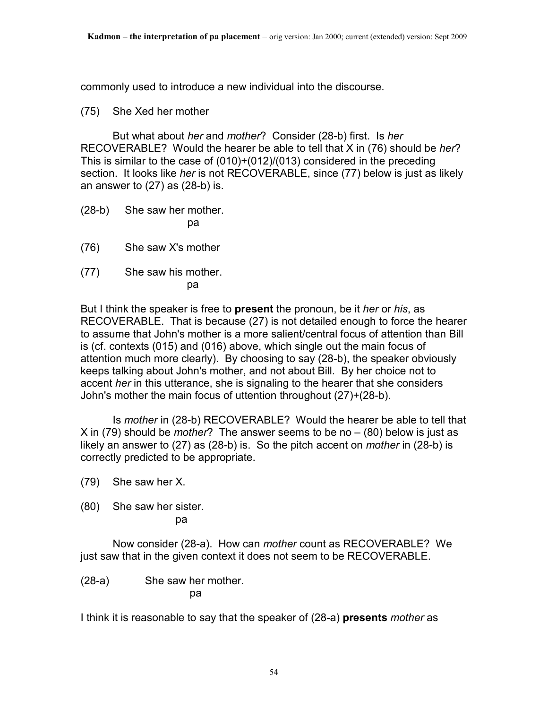commonly used to introduce a new individual into the discourse.

### (75) She Xed her mother

 But what about *her* and *mother*? Consider (28-b) first. Is *her* RECOVERABLE? Would the hearer be able to tell that X in (76) should be *her*? This is similar to the case of (010)+(012)/(013) considered in the preceding section. It looks like *her* is not RECOVERABLE, since (77) below is just as likely an answer to (27) as (28-b) is.

- (28-b) She saw her mother. particle in the particle particle in the particle in the particle in the particle in the particle in the particle in  $\mathbf{p}$
- (76) She saw X's mother
- (77) She saw his mother.

pa

But I think the speaker is free to **present** the pronoun, be it *her* or *his*, as RECOVERABLE. That is because (27) is not detailed enough to force the hearer to assume that John's mother is a more salient/central focus of attention than Bill is (cf. contexts (015) and (016) above, which single out the main focus of attention much more clearly). By choosing to say (28-b), the speaker obviously keeps talking about John's mother, and not about Bill. By her choice not to accent *her* in this utterance, she is signaling to the hearer that she considers John's mother the main focus of uttention throughout (27)+(28-b).

 Is *mother* in (28-b) RECOVERABLE? Would the hearer be able to tell that X in (79) should be *mother*? The answer seems to be no – (80) below is just as likely an answer to (27) as (28-b) is. So the pitch accent on *mother* in (28-b) is correctly predicted to be appropriate.

(79) She saw her X.

(80) She saw her sister.

pa

 Now consider (28-a). How can *mother* count as RECOVERABLE? We just saw that in the given context it does not seem to be RECOVERABLE.

(28-a) She saw her mother.

particle in the particle particle in the particle in the particle in the particle in the particle in the particle in  $\mathbf{p}$ 

I think it is reasonable to say that the speaker of (28-a) **presents** *mother* as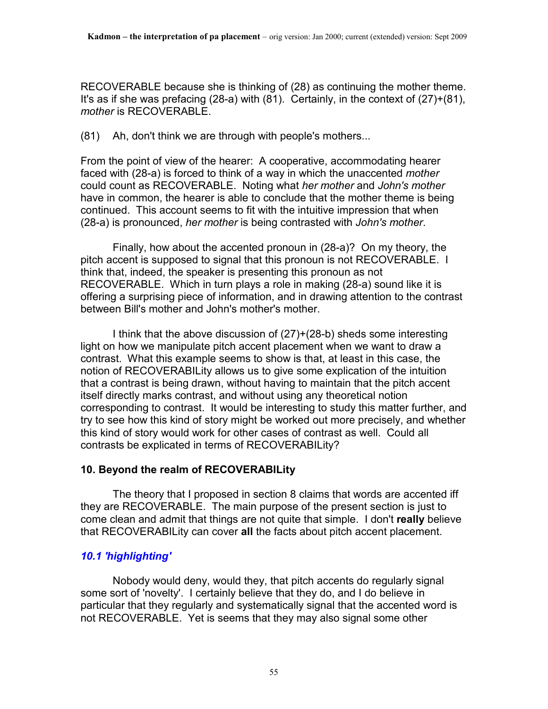RECOVERABLE because she is thinking of (28) as continuing the mother theme. It's as if she was prefacing (28-a) with (81). Certainly, in the context of (27)+(81), *mother* is RECOVERABLE.

(81) Ah, don't think we are through with people's mothers...

From the point of view of the hearer: A cooperative, accommodating hearer faced with (28-a) is forced to think of a way in which the unaccented *mother* could count as RECOVERABLE. Noting what *her mother* and *John's mother* have in common, the hearer is able to conclude that the mother theme is being continued. This account seems to fit with the intuitive impression that when (28-a) is pronounced, *her mother* is being contrasted with *John's mother*.

 Finally, how about the accented pronoun in (28-a)? On my theory, the pitch accent is supposed to signal that this pronoun is not RECOVERABLE. I think that, indeed, the speaker is presenting this pronoun as not RECOVERABLE. Which in turn plays a role in making (28-a) sound like it is offering a surprising piece of information, and in drawing attention to the contrast between Bill's mother and John's mother's mother.

 I think that the above discussion of (27)+(28-b) sheds some interesting light on how we manipulate pitch accent placement when we want to draw a contrast. What this example seems to show is that, at least in this case, the notion of RECOVERABILity allows us to give some explication of the intuition that a contrast is being drawn, without having to maintain that the pitch accent itself directly marks contrast, and without using any theoretical notion corresponding to contrast. It would be interesting to study this matter further, and try to see how this kind of story might be worked out more precisely, and whether this kind of story would work for other cases of contrast as well. Could all contrasts be explicated in terms of RECOVERABILity?

# **10. Beyond the realm of RECOVERABILity**

 The theory that I proposed in section 8 claims that words are accented iff they are RECOVERABLE. The main purpose of the present section is just to come clean and admit that things are not quite that simple. I don't **really** believe that RECOVERABILity can cover **all** the facts about pitch accent placement.

# *10.1 'highlighting'*

 Nobody would deny, would they, that pitch accents do regularly signal some sort of 'novelty'. I certainly believe that they do, and I do believe in particular that they regularly and systematically signal that the accented word is not RECOVERABLE. Yet is seems that they may also signal some other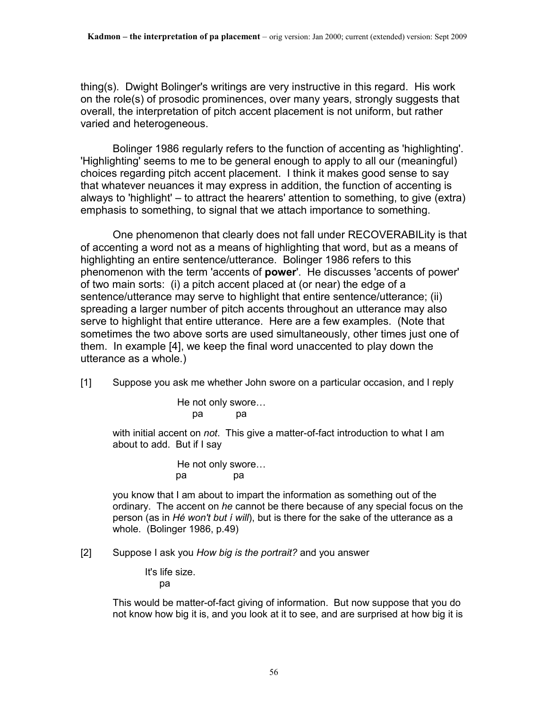thing(s). Dwight Bolinger's writings are very instructive in this regard. His work on the role(s) of prosodic prominences, over many years, strongly suggests that overall, the interpretation of pitch accent placement is not uniform, but rather varied and heterogeneous.

 Bolinger 1986 regularly refers to the function of accenting as 'highlighting'. 'Highlighting' seems to me to be general enough to apply to all our (meaningful) choices regarding pitch accent placement. I think it makes good sense to say that whatever neuances it may express in addition, the function of accenting is always to 'highlight' – to attract the hearers' attention to something, to give (extra) emphasis to something, to signal that we attach importance to something.

 One phenomenon that clearly does not fall under RECOVERABILity is that of accenting a word not as a means of highlighting that word, but as a means of highlighting an entire sentence/utterance. Bolinger 1986 refers to this phenomenon with the term 'accents of **power**'. He discusses 'accents of power' of two main sorts: (i) a pitch accent placed at (or near) the edge of a sentence/utterance may serve to highlight that entire sentence/utterance; (ii) spreading a larger number of pitch accents throughout an utterance may also serve to highlight that entire utterance. Here are a few examples. (Note that sometimes the two above sorts are used simultaneously, other times just one of them. In example [4], we keep the final word unaccented to play down the utterance as a whole.)

[1] Suppose you ask me whether John swore on a particular occasion, and I reply

 He not only swore… pa pa

> with initial accent on *not*. This give a matter-of-fact introduction to what I am about to add. But if I say

> > He not only swore… pa pa

you know that I am about to impart the information as something out of the ordinary. The accent on *he* cannot be there because of any special focus on the person (as in *Hé won't but í will*), but is there for the sake of the utterance as a whole. (Bolinger 1986, p.49)

[2] Suppose I ask you *How big is the portrait?* and you answer

It's life size.

pa

This would be matter-of-fact giving of information. But now suppose that you do not know how big it is, and you look at it to see, and are surprised at how big it is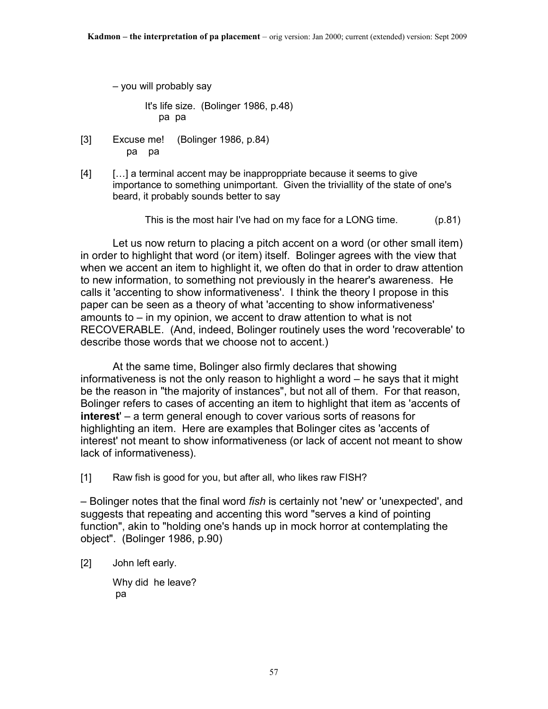– you will probably say

 It's life size. (Bolinger 1986, p.48) pa pa

- [3] Excuse me! (Bolinger 1986, p.84) pa pa
- [4] […] a terminal accent may be inapproppriate because it seems to give importance to something unimportant. Given the triviallity of the state of one's beard, it probably sounds better to say

This is the most hair I've had on my face for a LONG time. (p.81)

 Let us now return to placing a pitch accent on a word (or other small item) in order to highlight that word (or item) itself. Bolinger agrees with the view that when we accent an item to highlight it, we often do that in order to draw attention to new information, to something not previously in the hearer's awareness. He calls it 'accenting to show informativeness'. I think the theory I propose in this paper can be seen as a theory of what 'accenting to show informativeness' amounts to – in my opinion, we accent to draw attention to what is not RECOVERABLE. (And, indeed, Bolinger routinely uses the word 'recoverable' to describe those words that we choose not to accent.)

 At the same time, Bolinger also firmly declares that showing informativeness is not the only reason to highlight a word – he says that it might be the reason in "the majority of instances", but not all of them. For that reason, Bolinger refers to cases of accenting an item to highlight that item as 'accents of **interest**' – a term general enough to cover various sorts of reasons for highlighting an item. Here are examples that Bolinger cites as 'accents of interest' not meant to show informativeness (or lack of accent not meant to show lack of informativeness).

[1] Raw fish is good for you, but after all, who likes raw FISH?

– Bolinger notes that the final word *fish* is certainly not 'new' or 'unexpected', and suggests that repeating and accenting this word "serves a kind of pointing function", akin to "holding one's hands up in mock horror at contemplating the object". (Bolinger 1986, p.90)

[2] John left early.

Why did he leave? pa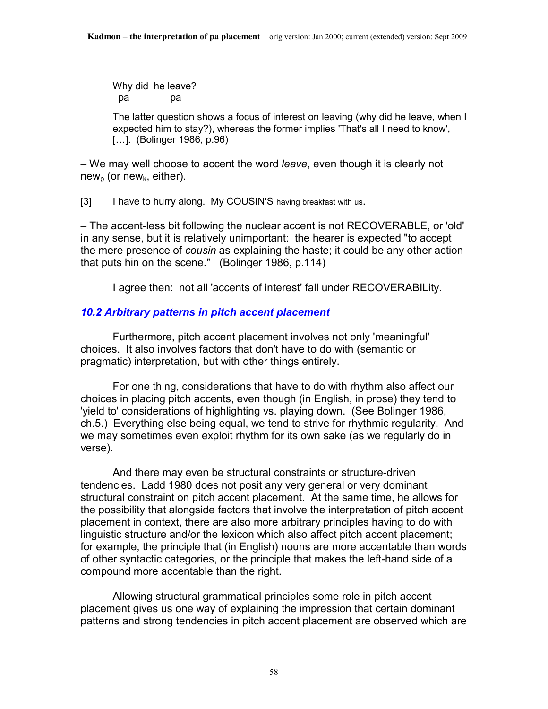Why did he leave? pa pa

The latter question shows a focus of interest on leaving (why did he leave, when I expected him to stay?), whereas the former implies 'That's all I need to know', [...]. (Bolinger 1986, p.96)

– We may well choose to accent the word *leave*, even though it is clearly not new<sub>n</sub> (or new<sub>k</sub>, either).

[3] I have to hurry along. My COUSIN'S having breakfast with us.

– The accent-less bit following the nuclear accent is not RECOVERABLE, or 'old' in any sense, but it is relatively unimportant: the hearer is expected "to accept the mere presence of *cousin* as explaining the haste; it could be any other action that puts hin on the scene." (Bolinger 1986, p.114)

I agree then: not all 'accents of interest' fall under RECOVERABILity.

# *10.2 Arbitrary patterns in pitch accent placement*

 Furthermore, pitch accent placement involves not only 'meaningful' choices. It also involves factors that don't have to do with (semantic or pragmatic) interpretation, but with other things entirely.

 For one thing, considerations that have to do with rhythm also affect our choices in placing pitch accents, even though (in English, in prose) they tend to 'yield to' considerations of highlighting vs. playing down. (See Bolinger 1986, ch.5.) Everything else being equal, we tend to strive for rhythmic regularity. And we may sometimes even exploit rhythm for its own sake (as we regularly do in verse).

 And there may even be structural constraints or structure-driven tendencies. Ladd 1980 does not posit any very general or very dominant structural constraint on pitch accent placement. At the same time, he allows for the possibility that alongside factors that involve the interpretation of pitch accent placement in context, there are also more arbitrary principles having to do with linguistic structure and/or the lexicon which also affect pitch accent placement; for example, the principle that (in English) nouns are more accentable than words of other syntactic categories, or the principle that makes the left-hand side of a compound more accentable than the right.

 Allowing structural grammatical principles some role in pitch accent placement gives us one way of explaining the impression that certain dominant patterns and strong tendencies in pitch accent placement are observed which are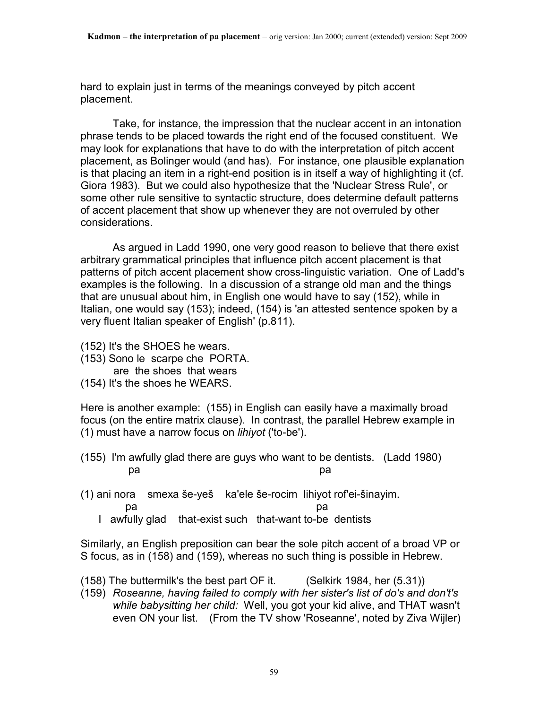hard to explain just in terms of the meanings conveyed by pitch accent placement.

 Take, for instance, the impression that the nuclear accent in an intonation phrase tends to be placed towards the right end of the focused constituent. We may look for explanations that have to do with the interpretation of pitch accent placement, as Bolinger would (and has). For instance, one plausible explanation is that placing an item in a right-end position is in itself a way of highlighting it (cf. Giora 1983). But we could also hypothesize that the 'Nuclear Stress Rule', or some other rule sensitive to syntactic structure, does determine default patterns of accent placement that show up whenever they are not overruled by other considerations.

 As argued in Ladd 1990, one very good reason to believe that there exist arbitrary grammatical principles that influence pitch accent placement is that patterns of pitch accent placement show cross-linguistic variation. One of Ladd's examples is the following. In a discussion of a strange old man and the things that are unusual about him, in English one would have to say (152), while in Italian, one would say (153); indeed, (154) is 'an attested sentence spoken by a very fluent Italian speaker of English' (p.811).

- (152) It's the SHOES he wears.
- (153) Sono le scarpe che PORTA.
	- are the shoes that wears
- (154) It's the shoes he WEARS.

Here is another example: (155) in English can easily have a maximally broad focus (on the entire matrix clause). In contrast, the parallel Hebrew example in (1) must have a narrow focus on *lihiyot* ('to-be').

- (155) I'm awfully glad there are guys who want to be dentists. (Ladd 1980) pa pandang pangangan pangangan pangangan pangangan pangangan pangangan pangangan pangangan pangangan pangangan
- (1) ani nora smexa še-yeš ka'ele še-rocim lihiyot rof'ei-šinayim. pa *pa pa pa pa pa pa pa* 
	- I awfully glad that-exist such that-want to-be dentists

Similarly, an English preposition can bear the sole pitch accent of a broad VP or S focus, as in (158) and (159), whereas no such thing is possible in Hebrew.

- (158) The buttermilk's the best part OF it. (Selkirk 1984, her (5.31))
- (159) *Roseanne, having failed to comply with her sister's list of do's and don't's while babysitting her child:* Well, you got your kid alive, and THAT wasn't even ON your list. (From the TV show 'Roseanne', noted by Ziva Wijler)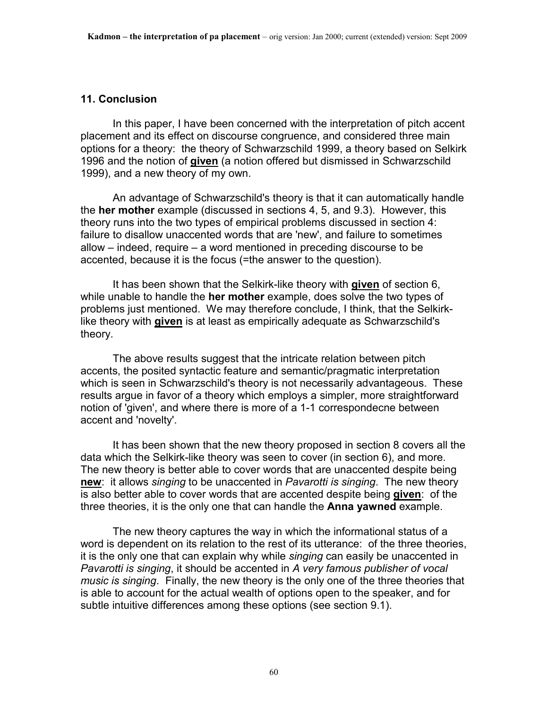#### **11. Conclusion**

 In this paper, I have been concerned with the interpretation of pitch accent placement and its effect on discourse congruence, and considered three main options for a theory: the theory of Schwarzschild 1999, a theory based on Selkirk 1996 and the notion of **given** (a notion offered but dismissed in Schwarzschild 1999), and a new theory of my own.

 An advantage of Schwarzschild's theory is that it can automatically handle the **her mother** example (discussed in sections 4, 5, and 9.3). However, this theory runs into the two types of empirical problems discussed in section 4: failure to disallow unaccented words that are 'new', and failure to sometimes allow – indeed, require – a word mentioned in preceding discourse to be accented, because it is the focus (=the answer to the question).

 It has been shown that the Selkirk-like theory with **given** of section 6, while unable to handle the **her mother** example, does solve the two types of problems just mentioned. We may therefore conclude, I think, that the Selkirklike theory with **given** is at least as empirically adequate as Schwarzschild's theory.

 The above results suggest that the intricate relation between pitch accents, the posited syntactic feature and semantic/pragmatic interpretation which is seen in Schwarzschild's theory is not necessarily advantageous. These results argue in favor of a theory which employs a simpler, more straightforward notion of 'given', and where there is more of a 1-1 correspondecne between accent and 'novelty'.

 It has been shown that the new theory proposed in section 8 covers all the data which the Selkirk-like theory was seen to cover (in section 6), and more. The new theory is better able to cover words that are unaccented despite being **new**: it allows *singing* to be unaccented in *Pavarotti is singing*. The new theory is also better able to cover words that are accented despite being **given**: of the three theories, it is the only one that can handle the **Anna yawned** example.

 The new theory captures the way in which the informational status of a word is dependent on its relation to the rest of its utterance: of the three theories, it is the only one that can explain why while *singing* can easily be unaccented in *Pavarotti is singing*, it should be accented in *A very famous publisher of vocal music is singing*. Finally, the new theory is the only one of the three theories that is able to account for the actual wealth of options open to the speaker, and for subtle intuitive differences among these options (see section 9.1).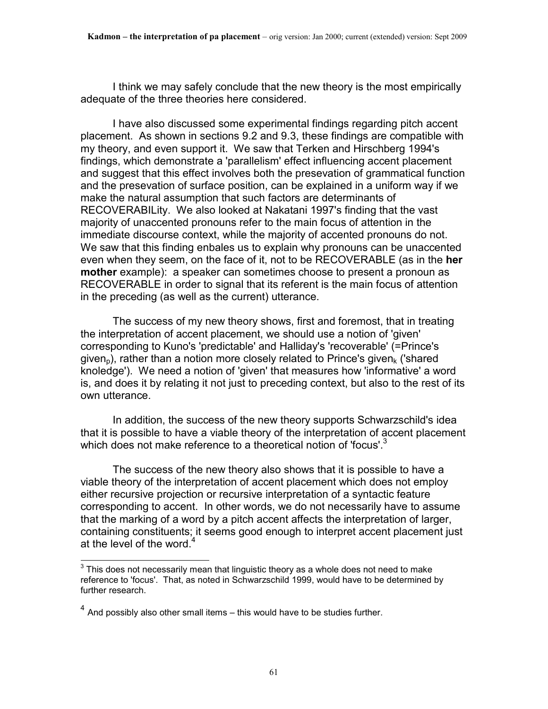I think we may safely conclude that the new theory is the most empirically adequate of the three theories here considered.

 I have also discussed some experimental findings regarding pitch accent placement. As shown in sections 9.2 and 9.3, these findings are compatible with my theory, and even support it. We saw that Terken and Hirschberg 1994's findings, which demonstrate a 'parallelism' effect influencing accent placement and suggest that this effect involves both the presevation of grammatical function and the presevation of surface position, can be explained in a uniform way if we make the natural assumption that such factors are determinants of RECOVERABILity. We also looked at Nakatani 1997's finding that the vast majority of unaccented pronouns refer to the main focus of attention in the immediate discourse context, while the majority of accented pronouns do not. We saw that this finding enbales us to explain why pronouns can be unaccented even when they seem, on the face of it, not to be RECOVERABLE (as in the **her mother** example): a speaker can sometimes choose to present a pronoun as RECOVERABLE in order to signal that its referent is the main focus of attention in the preceding (as well as the current) utterance.

 The success of my new theory shows, first and foremost, that in treating the interpretation of accent placement, we should use a notion of 'given' corresponding to Kuno's 'predictable' and Halliday's 'recoverable' (=Prince's given<sub>p</sub>), rather than a notion more closely related to Prince's given<sub>k</sub> ('shared knoledge'). We need a notion of 'given' that measures how 'informative' a word is, and does it by relating it not just to preceding context, but also to the rest of its own utterance.

 In addition, the success of the new theory supports Schwarzschild's idea that it is possible to have a viable theory of the interpretation of accent placement which does not make reference to a theoretical notion of 'focus'.<sup>3</sup>

 The success of the new theory also shows that it is possible to have a viable theory of the interpretation of accent placement which does not employ either recursive projection or recursive interpretation of a syntactic feature corresponding to accent. In other words, we do not necessarily have to assume that the marking of a word by a pitch accent affects the interpretation of larger, containing constituents; it seems good enough to interpret accent placement just at the level of the word. $4$ 

**THE CONDEN TE 2018**<br>This does not necessarily mean that linguistic theory as a whole does not need to make reference to 'focus'. That, as noted in Schwarzschild 1999, would have to be determined by further research.

 $<sup>4</sup>$  And possibly also other small items – this would have to be studies further.</sup>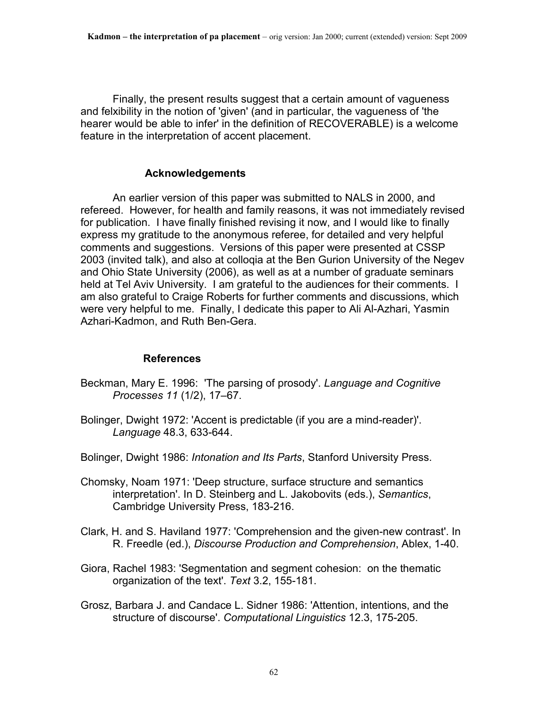Finally, the present results suggest that a certain amount of vagueness and felxibility in the notion of 'given' (and in particular, the vagueness of 'the hearer would be able to infer' in the definition of RECOVERABLE) is a welcome feature in the interpretation of accent placement.

#### **Acknowledgements**

 An earlier version of this paper was submitted to NALS in 2000, and refereed. However, for health and family reasons, it was not immediately revised for publication. I have finally finished revising it now, and I would like to finally express my gratitude to the anonymous referee, for detailed and very helpful comments and suggestions. Versions of this paper were presented at CSSP 2003 (invited talk), and also at colloqia at the Ben Gurion University of the Negev and Ohio State University (2006), as well as at a number of graduate seminars held at Tel Aviv University. I am grateful to the audiences for their comments. I am also grateful to Craige Roberts for further comments and discussions, which were very helpful to me. Finally, I dedicate this paper to Ali Al-Azhari, Yasmin Azhari-Kadmon, and Ruth Ben-Gera.

#### **References**

- Beckman, Mary E. 1996: 'The parsing of prosody'. *Language and Cognitive Processes 11* (1/2), 17–67.
- Bolinger, Dwight 1972: 'Accent is predictable (if you are a mind-reader)'. *Language* 48.3, 633-644.
- Bolinger, Dwight 1986: *Intonation and Its Parts*, Stanford University Press.
- Chomsky, Noam 1971: 'Deep structure, surface structure and semantics interpretation'. In D. Steinberg and L. Jakobovits (eds.), *Semantics*, Cambridge University Press, 183-216.
- Clark, H. and S. Haviland 1977: 'Comprehension and the given-new contrast'. In R. Freedle (ed.), *Discourse Production and Comprehension*, Ablex, 1-40.
- Giora, Rachel 1983: 'Segmentation and segment cohesion: on the thematic organization of the text'. *Text* 3.2, 155-181.
- Grosz, Barbara J. and Candace L. Sidner 1986: 'Attention, intentions, and the structure of discourse'. *Computational Linguistics* 12.3, 175-205.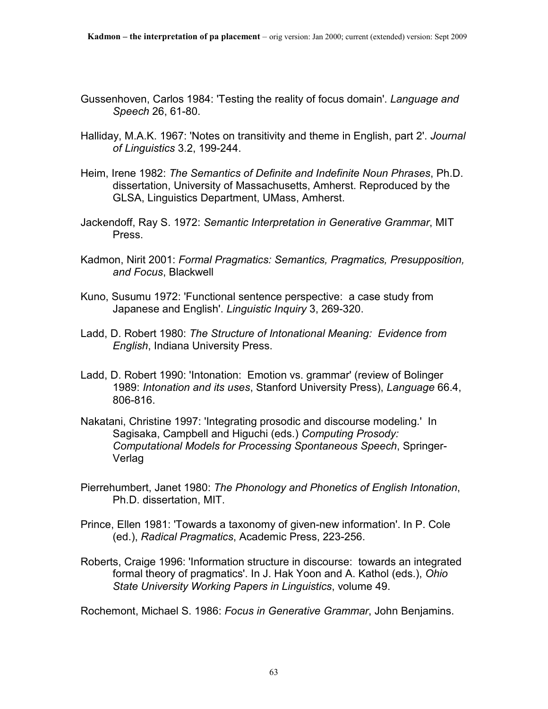- Gussenhoven, Carlos 1984: 'Testing the reality of focus domain'. *Language and Speech* 26, 61-80.
- Halliday, M.A.K. 1967: 'Notes on transitivity and theme in English, part 2'. *Journal of Linguistics* 3.2, 199-244.
- Heim, Irene 1982: *The Semantics of Definite and Indefinite Noun Phrases*, Ph.D. dissertation, University of Massachusetts, Amherst. Reproduced by the GLSA, Linguistics Department, UMass, Amherst.
- Jackendoff, Ray S. 1972: *Semantic Interpretation in Generative Grammar*, MIT Press.
- Kadmon, Nirit 2001: *Formal Pragmatics: Semantics, Pragmatics, Presupposition, and Focus*, Blackwell
- Kuno, Susumu 1972: 'Functional sentence perspective: a case study from Japanese and English'. *Linguistic Inquiry* 3, 269-320.
- Ladd, D. Robert 1980: *The Structure of Intonational Meaning: Evidence from English*, Indiana University Press.
- Ladd, D. Robert 1990: 'Intonation: Emotion vs. grammar' (review of Bolinger 1989: *Intonation and its uses*, Stanford University Press), *Language* 66.4, 806-816.
- Nakatani, Christine 1997: 'Integrating prosodic and discourse modeling.' In Sagisaka, Campbell and Higuchi (eds.) *Computing Prosody: Computational Models for Processing Spontaneous Speech*, Springer-Verlag
- Pierrehumbert, Janet 1980: *The Phonology and Phonetics of English Intonation*, Ph.D. dissertation, MIT.
- Prince, Ellen 1981: 'Towards a taxonomy of given-new information'. In P. Cole (ed.), *Radical Pragmatics*, Academic Press, 223-256.
- Roberts, Craige 1996: 'Information structure in discourse: towards an integrated formal theory of pragmatics'. In J. Hak Yoon and A. Kathol (eds.), *Ohio State University Working Papers in Linguistics*, volume 49.

Rochemont, Michael S. 1986: *Focus in Generative Grammar*, John Benjamins.